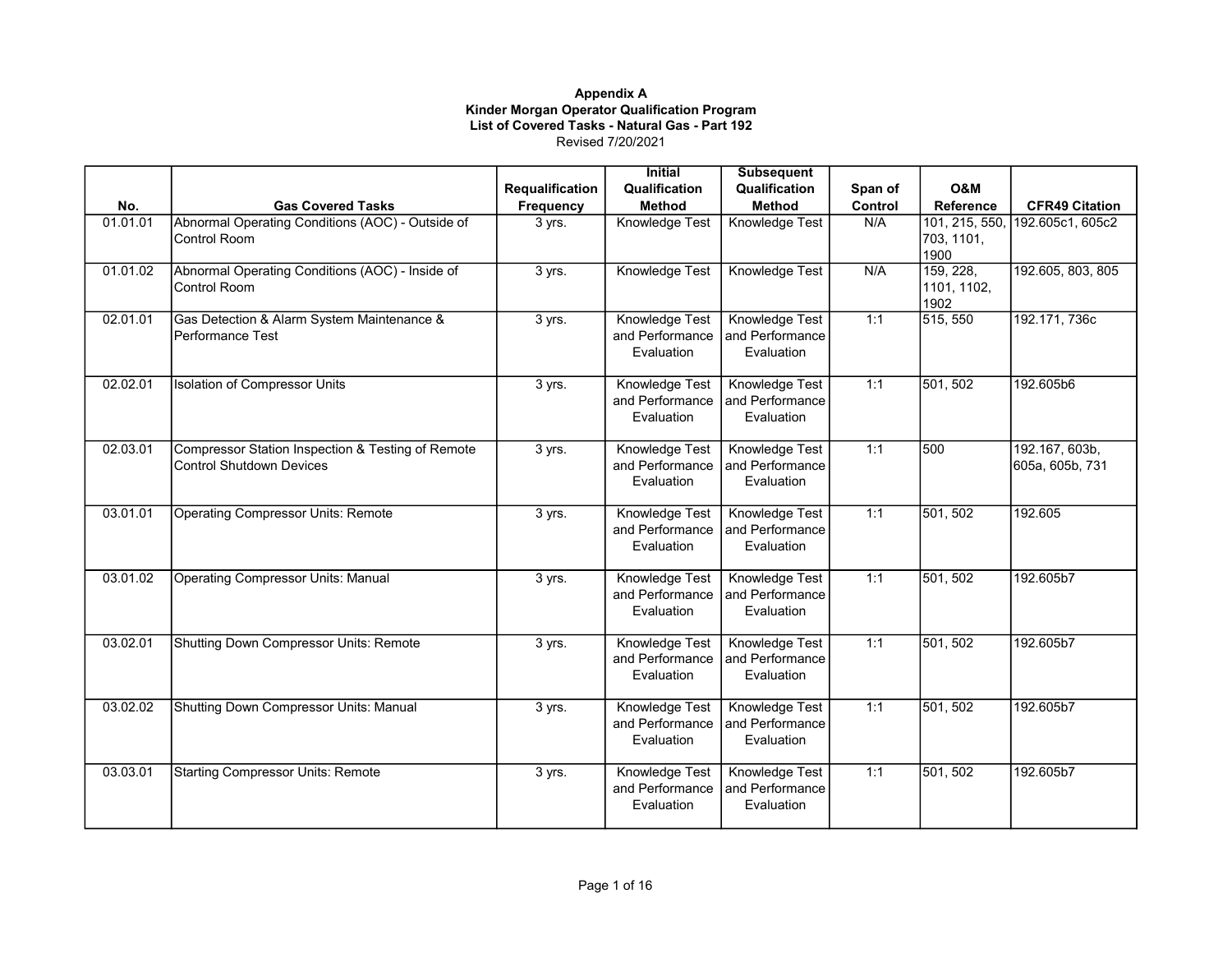|          |                                                                               |                 | <b>Initial</b>                                         | <b>Subsequent</b>                                      |         |                                  |                                   |
|----------|-------------------------------------------------------------------------------|-----------------|--------------------------------------------------------|--------------------------------------------------------|---------|----------------------------------|-----------------------------------|
|          |                                                                               | Requalification | Qualification                                          | Qualification                                          | Span of | <b>O&amp;M</b>                   |                                   |
| No.      | <b>Gas Covered Tasks</b>                                                      | Frequency       | <b>Method</b>                                          | <b>Method</b>                                          | Control | Reference                        | <b>CFR49 Citation</b>             |
| 01.01.01 | Abnormal Operating Conditions (AOC) - Outside of<br>Control Room              | 3 yrs.          | Knowledge Test                                         | Knowledge Test                                         | N/A     | 703, 1101,<br>1900               | 101, 215, 550, 192.605c1, 605c2   |
| 01.01.02 | Abnormal Operating Conditions (AOC) - Inside of<br>Control Room               | 3 yrs.          | Knowledge Test                                         | Knowledge Test                                         | N/A     | 159, 228,<br>1101, 1102,<br>1902 | 192.605, 803, 805                 |
| 02.01.01 | Gas Detection & Alarm System Maintenance &<br>Performance Test                | 3 yrs.          | Knowledge Test<br>and Performance<br>Evaluation        | Knowledge Test<br>and Performance<br>Evaluation        | 1:1     | 515, 550                         | 192.171, 736c                     |
| 02.02.01 | <b>Isolation of Compressor Units</b>                                          | 3 yrs.          | Knowledge Test<br>and Performance<br>Evaluation        | Knowledge Test<br>and Performance<br>Evaluation        | 1:1     | 501, 502                         | 192.605b6                         |
| 02.03.01 | Compressor Station Inspection & Testing of Remote<br>Control Shutdown Devices | 3 yrs.          | Knowledge Test<br>and Performance<br>Evaluation        | Knowledge Test<br>and Performance<br>Evaluation        | 1:1     | 500                              | 192.167, 603b,<br>605a, 605b, 731 |
| 03.01.01 | <b>Operating Compressor Units: Remote</b>                                     | 3 yrs.          | <b>Knowledge Test</b><br>and Performance<br>Evaluation | <b>Knowledge Test</b><br>and Performance<br>Evaluation | 1:1     | 501, 502                         | 192.605                           |
| 03.01.02 | <b>Operating Compressor Units: Manual</b>                                     | 3 yrs.          | Knowledge Test<br>and Performance<br>Evaluation        | Knowledge Test<br>and Performance<br>Evaluation        | 1:1     | 501, 502                         | 192.605b7                         |
| 03.02.01 | Shutting Down Compressor Units: Remote                                        | 3 yrs.          | Knowledge Test<br>and Performance<br>Evaluation        | Knowledge Test<br>and Performance<br>Evaluation        | 1:1     | 501, 502                         | 192.605b7                         |
| 03.02.02 | Shutting Down Compressor Units: Manual                                        | 3 yrs.          | Knowledge Test<br>and Performance<br>Evaluation        | Knowledge Test<br>and Performance<br>Evaluation        | 1:1     | 501, 502                         | 192.605b7                         |
| 03.03.01 | <b>Starting Compressor Units: Remote</b>                                      | 3 yrs.          | Knowledge Test<br>and Performance<br>Evaluation        | Knowledge Test<br>and Performance<br>Evaluation        | 1:1     | 501, 502                         | 192.605b7                         |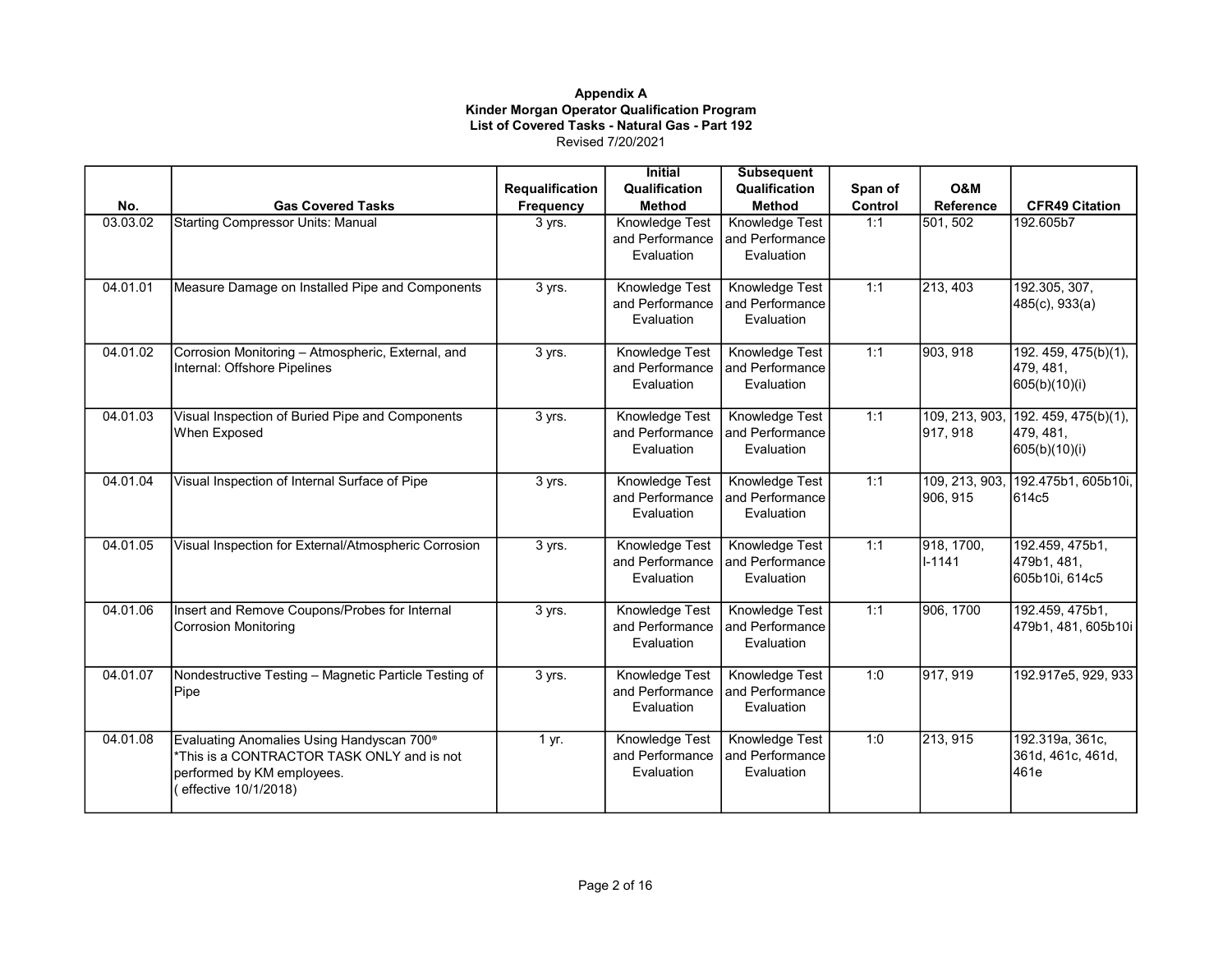|          |                                                       |                 | <b>Initial</b>  | <b>Subsequent</b>     |         |                  |                       |
|----------|-------------------------------------------------------|-----------------|-----------------|-----------------------|---------|------------------|-----------------------|
|          |                                                       | Requalification | Qualification   | Qualification         | Span of | O&M              |                       |
| No.      | <b>Gas Covered Tasks</b>                              | Frequency       | <b>Method</b>   | <b>Method</b>         | Control | <b>Reference</b> | <b>CFR49 Citation</b> |
| 03.03.02 | <b>Starting Compressor Units: Manual</b>              | 3 yrs.          | Knowledge Test  | Knowledge Test        | 1:1     | 501, 502         | 192.605b7             |
|          |                                                       |                 | and Performance | and Performance       |         |                  |                       |
|          |                                                       |                 | Evaluation      | Evaluation            |         |                  |                       |
| 04.01.01 | Measure Damage on Installed Pipe and Components       | 3 yrs.          | Knowledge Test  | Knowledge Test        | 1:1     | 213, 403         | 192.305, 307,         |
|          |                                                       |                 | and Performance | and Performance       |         |                  | 485(c), 933(a)        |
|          |                                                       |                 | Evaluation      | Evaluation            |         |                  |                       |
| 04.01.02 | Corrosion Monitoring - Atmospheric, External, and     | 3 yrs.          | Knowledge Test  | Knowledge Test        | 1:1     | 903, 918         | 192.459, 475(b)(1),   |
|          | Internal: Offshore Pipelines                          |                 | and Performance | and Performance       |         |                  | 479, 481,             |
|          |                                                       |                 | Evaluation      | Evaluation            |         |                  | 605(b)(10)(i)         |
| 04.01.03 | Visual Inspection of Buried Pipe and Components       | 3 yrs.          | Knowledge Test  | Knowledge Test        | 1:1     | 109, 213, 903,   | 192.459, 475(b)(1),   |
|          | When Exposed                                          |                 | and Performance | and Performance       |         | 917, 918         | 479, 481,             |
|          |                                                       |                 | Evaluation      | Evaluation            |         |                  | 605(b)(10)(i)         |
| 04.01.04 | Visual Inspection of Internal Surface of Pipe         | 3 yrs.          | Knowledge Test  | Knowledge Test        | 1:1     | 109, 213, 903,   | 192.475b1, 605b10i,   |
|          |                                                       |                 | and Performance | and Performance       |         | 906, 915         | 614c5                 |
|          |                                                       |                 | Evaluation      | Evaluation            |         |                  |                       |
| 04.01.05 | Visual Inspection for External/Atmospheric Corrosion  | 3 yrs.          | Knowledge Test  | <b>Knowledge Test</b> | 1:1     | 918, 1700,       | 192.459, 475b1,       |
|          |                                                       |                 | and Performance | and Performance       |         | I-1141           | 479b1, 481,           |
|          |                                                       |                 | Evaluation      | Evaluation            |         |                  | 605b10i, 614c5        |
| 04.01.06 | Insert and Remove Coupons/Probes for Internal         | 3 yrs.          | Knowledge Test  | Knowledge Test        | 1:1     | 906, 1700        | 192.459, 475b1,       |
|          | <b>Corrosion Monitoring</b>                           |                 | and Performance | and Performance       |         |                  | 479b1, 481, 605b10i   |
|          |                                                       |                 | Evaluation      | Evaluation            |         |                  |                       |
| 04.01.07 | Nondestructive Testing - Magnetic Particle Testing of | 3 yrs.          | Knowledge Test  | Knowledge Test        | 1:0     | 917, 919         | 192.917e5, 929, 933   |
|          | Pipe                                                  |                 | and Performance | and Performance       |         |                  |                       |
|          |                                                       |                 | Evaluation      | Evaluation            |         |                  |                       |
| 04.01.08 | Evaluating Anomalies Using Handyscan 700 <sup>®</sup> | 1 yr.           | Knowledge Test  | Knowledge Test        | 1:0     | 213, 915         | 192.319a, 361c,       |
|          | This is a CONTRACTOR TASK ONLY and is not             |                 | and Performance | and Performance       |         |                  | 361d, 461c, 461d,     |
|          | performed by KM employees.                            |                 | Evaluation      | Evaluation            |         |                  | 461e                  |
|          | effective 10/1/2018)                                  |                 |                 |                       |         |                  |                       |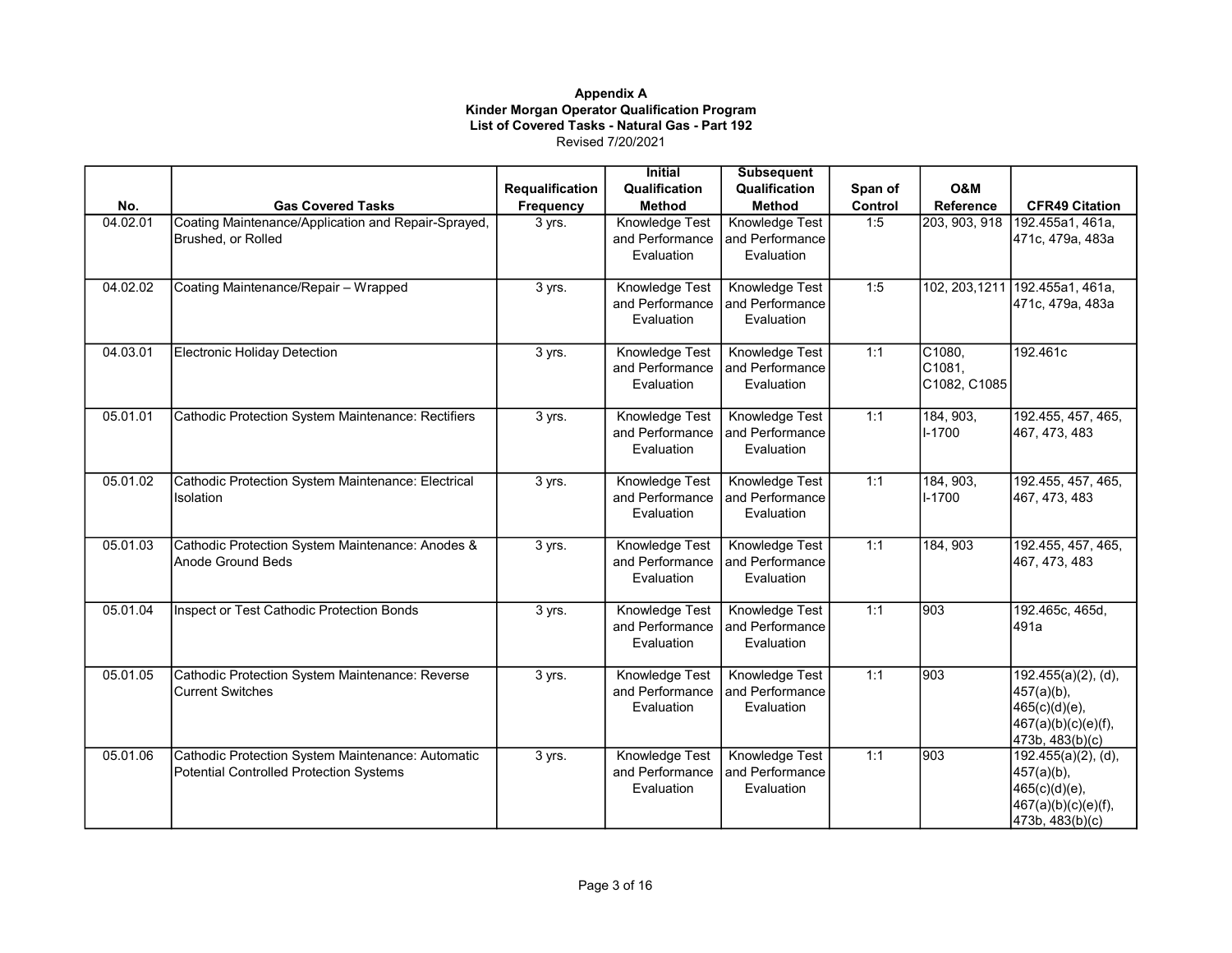|          |                                                     |                 | <b>Initial</b>  | <b>Subsequent</b>     |         |                    |                                           |
|----------|-----------------------------------------------------|-----------------|-----------------|-----------------------|---------|--------------------|-------------------------------------------|
|          |                                                     | Requalification | Qualification   | Qualification         | Span of | O&M                |                                           |
| No.      | <b>Gas Covered Tasks</b>                            | Frequency       | <b>Method</b>   | <b>Method</b>         | Control | Reference          | <b>CFR49 Citation</b>                     |
| 04.02.01 | Coating Maintenance/Application and Repair-Sprayed, | 3 yrs.          | Knowledge Test  | Knowledge Test        | 1:5     | 203, 903, 918      | 192.455a1, 461a,                          |
|          | Brushed, or Rolled                                  |                 | and Performance | and Performance       |         |                    | 471c, 479a, 483a                          |
|          |                                                     |                 | Evaluation      | Evaluation            |         |                    |                                           |
|          |                                                     |                 |                 |                       |         |                    |                                           |
| 04.02.02 | Coating Maintenance/Repair - Wrapped                | 3 yrs.          | Knowledge Test  | <b>Knowledge Test</b> | 1:5     |                    | 102, 203, 1211 192. 455a1, 461a,          |
|          |                                                     |                 | and Performance | and Performance       |         |                    | 471c, 479a, 483a                          |
|          |                                                     |                 | Evaluation      | Evaluation            |         |                    |                                           |
|          |                                                     |                 |                 |                       |         |                    |                                           |
| 04.03.01 | Electronic Holiday Detection                        | 3 yrs.          | Knowledge Test  | Knowledge Test        | 1:1     | CI080,             | 192.461c                                  |
|          |                                                     |                 | and Performance | and Performance       |         | C <sub>1081,</sub> |                                           |
|          |                                                     |                 | Evaluation      | Evaluation            |         | C1082, C1085       |                                           |
|          |                                                     |                 |                 |                       |         |                    |                                           |
| 05.01.01 | Cathodic Protection System Maintenance: Rectifiers  | 3 yrs.          | Knowledge Test  | Knowledge Test        | 1:1     | 184, 903,          | 192.455, 457, 465,                        |
|          |                                                     |                 | and Performance | and Performance       |         | I-1700             | 467, 473, 483                             |
|          |                                                     |                 | Evaluation      | Evaluation            |         |                    |                                           |
|          |                                                     |                 |                 |                       |         |                    |                                           |
| 05.01.02 | Cathodic Protection System Maintenance: Electrical  | 3 yrs.          | Knowledge Test  | Knowledge Test        | 1:1     | 184, 903,          | 192.455, 457, 465,                        |
|          | <b>Isolation</b>                                    |                 | and Performance | and Performance       |         | I-1700             | 467, 473, 483                             |
|          |                                                     |                 | Evaluation      | Evaluation            |         |                    |                                           |
|          |                                                     |                 |                 |                       |         |                    |                                           |
| 05.01.03 | Cathodic Protection System Maintenance: Anodes &    | 3 yrs.          | Knowledge Test  | Knowledge Test        | 1:1     | 184, 903           | 192.455, 457, 465,                        |
|          | Anode Ground Beds                                   |                 | and Performance | and Performance       |         |                    | 467, 473, 483                             |
|          |                                                     |                 | Evaluation      | Evaluation            |         |                    |                                           |
|          |                                                     |                 |                 |                       |         |                    |                                           |
| 05.01.04 | Inspect or Test Cathodic Protection Bonds           | 3 yrs.          | Knowledge Test  | Knowledge Test        | 1:1     | 903                | 192.465c, 465d,                           |
|          |                                                     |                 | and Performance | and Performance       |         |                    | 491a                                      |
|          |                                                     |                 | Evaluation      | Evaluation            |         |                    |                                           |
| 05.01.05 | Cathodic Protection System Maintenance: Reverse     | 3 yrs.          | Knowledge Test  | Knowledge Test        | 1:1     | 903                | $192.455(a)(2)$ , (d),                    |
|          | <b>Current Switches</b>                             |                 | and Performance | and Performance       |         |                    |                                           |
|          |                                                     |                 | Evaluation      | Evaluation            |         |                    | $457(a)(b)$ ,<br>465(c)(d)(e),            |
|          |                                                     |                 |                 |                       |         |                    |                                           |
|          |                                                     |                 |                 |                       |         |                    | 467(a)(b)(c)(e)(f),                       |
| 05.01.06 | Cathodic Protection System Maintenance: Automatic   | 3 yrs.          | Knowledge Test  | <b>Knowledge Test</b> | 1:1     | 903                | 473b, 483(b)(c)<br>$192.455(a)(2)$ , (d), |
|          | Potential Controlled Protection Systems             |                 | and Performance | and Performance       |         |                    | $457(a)(b)$ ,                             |
|          |                                                     |                 | Evaluation      | Evaluation            |         |                    | 465(c)(d)(e),                             |
|          |                                                     |                 |                 |                       |         |                    |                                           |
|          |                                                     |                 |                 |                       |         |                    | 467(a)(b)(c)(e)(f),                       |
|          |                                                     |                 |                 |                       |         |                    | 473b, 483(b)(c)                           |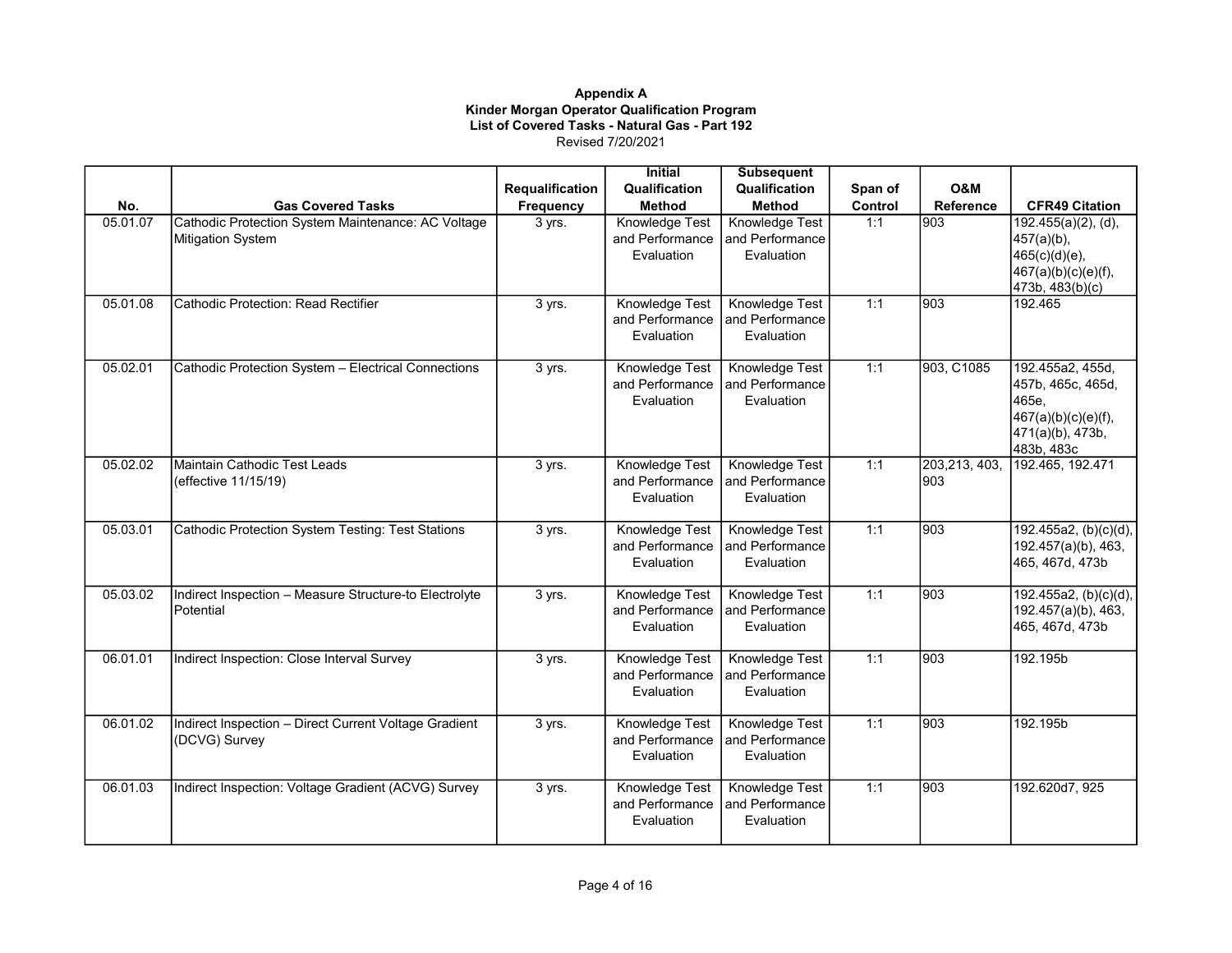|          |                                                                         |                        | <b>Initial</b>                                  | <b>Subsequent</b>                               |         |                      |                                                                                                         |
|----------|-------------------------------------------------------------------------|------------------------|-------------------------------------------------|-------------------------------------------------|---------|----------------------|---------------------------------------------------------------------------------------------------------|
|          |                                                                         | <b>Requalification</b> | Qualification                                   | Qualification                                   | Span of | O&M                  |                                                                                                         |
| No.      | <b>Gas Covered Tasks</b>                                                | Frequency              | <b>Method</b>                                   | <b>Method</b>                                   | Control | <b>Reference</b>     | <b>CFR49 Citation</b>                                                                                   |
| 05.01.07 | Cathodic Protection System Maintenance: AC Voltage<br>Mitigation System | 3 yrs.                 | Knowledge Test<br>and Performance<br>Evaluation | Knowledge Test<br>and Performance<br>Evaluation | 1:1     | 903                  | $192.455(a)(2)$ , (d),<br>457(a)(b),<br>465(c)(d)(e),<br>467(a)(b)(c)(e)(f),<br>473b, 483(b)(c)         |
| 05.01.08 | Cathodic Protection: Read Rectifier                                     | 3 yrs.                 | Knowledge Test<br>and Performance<br>Evaluation | Knowledge Test<br>and Performance<br>Evaluation | 1:1     | 903                  | 192.465                                                                                                 |
| 05.02.01 | Cathodic Protection System - Electrical Connections                     | 3 yrs.                 | Knowledge Test<br>and Performance<br>Evaluation | Knowledge Test<br>and Performance<br>Evaluation | 1:1     | 903, C1085           | 192.455a2, 455d,<br>457b, 465c, 465d,<br>465e,<br>467(a)(b)(c)(e)(f),<br>471(a)(b), 473b,<br>483b, 483c |
| 05.02.02 | Maintain Cathodic Test Leads<br>(effective 11/15/19)                    | 3 yrs.                 | Knowledge Test<br>and Performance<br>Evaluation | Knowledge Test<br>and Performance<br>Evaluation | 1:1     | 203,213, 403,<br>903 | 192.465, 192.471                                                                                        |
| 05.03.01 | Cathodic Protection System Testing: Test Stations                       | 3 yrs.                 | Knowledge Test<br>and Performance<br>Evaluation | Knowledge Test<br>and Performance<br>Evaluation | 1:1     | 903                  | 192.455a2, (b)(c)(d),<br>192.457(a)(b), 463,<br>465, 467d, 473b                                         |
| 05.03.02 | Indirect Inspection - Measure Structure-to Electrolyte<br>Potential     | 3 yrs.                 | Knowledge Test<br>and Performance<br>Evaluation | Knowledge Test<br>and Performance<br>Evaluation | 1:1     | $\overline{903}$     | 192.455a2, (b)(c)(d),<br>192.457(a)(b), 463,<br>465, 467d, 473b                                         |
| 06.01.01 | Indirect Inspection: Close Interval Survey                              | 3 yrs.                 | Knowledge Test<br>and Performance<br>Evaluation | Knowledge Test<br>and Performance<br>Evaluation | 1:1     | 903                  | 192.195b                                                                                                |
| 06.01.02 | Indirect Inspection - Direct Current Voltage Gradient<br>(DCVG) Survey  | 3 yrs.                 | Knowledge Test<br>and Performance<br>Evaluation | Knowledge Test<br>and Performance<br>Evaluation | 1:1     | 903                  | 192.195b                                                                                                |
| 06.01.03 | Indirect Inspection: Voltage Gradient (ACVG) Survey                     | 3 yrs.                 | Knowledge Test<br>and Performance<br>Evaluation | Knowledge Test<br>and Performance<br>Evaluation | 1:1     | $\overline{903}$     | 192.620d7, 925                                                                                          |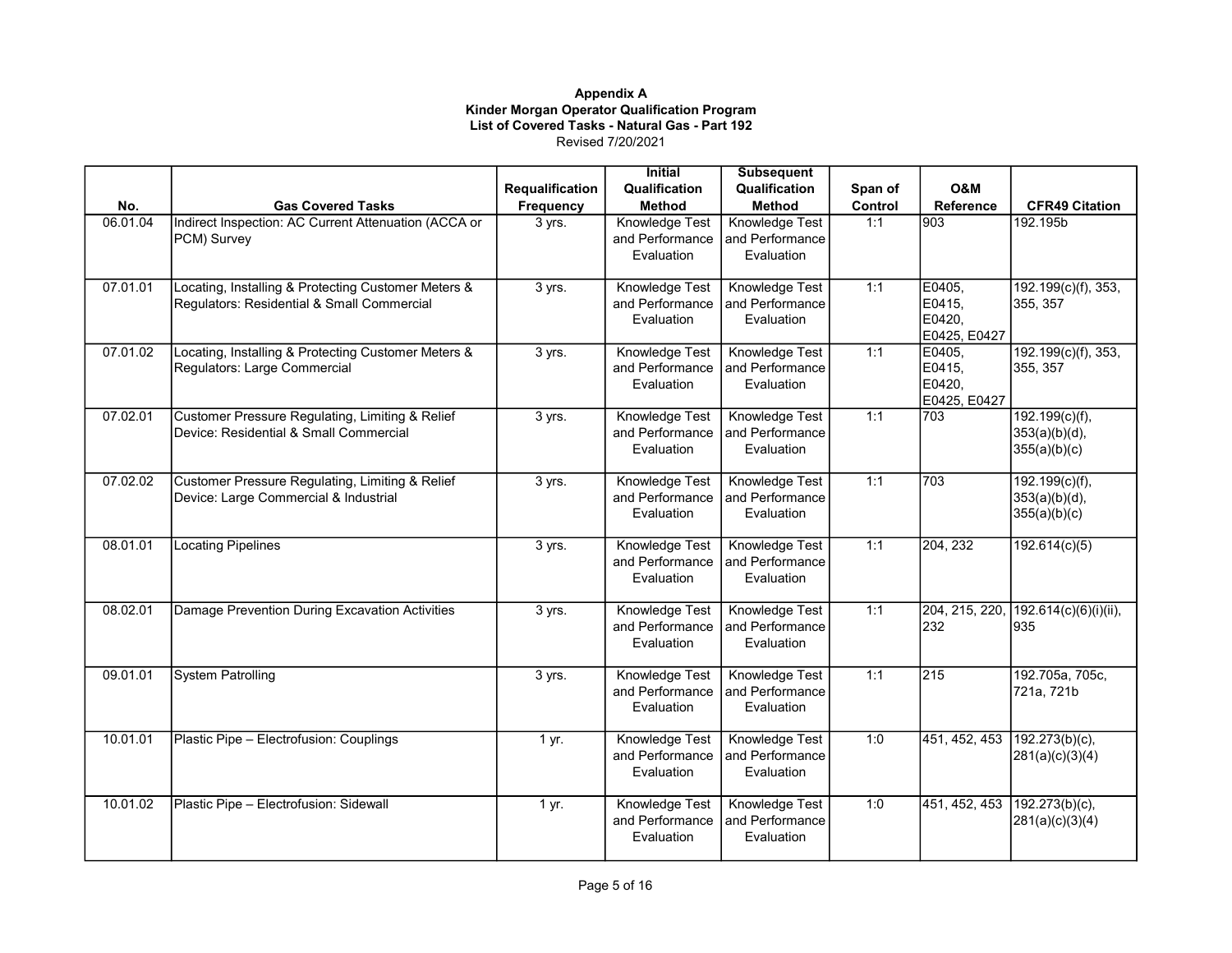|          |                                                      |                        | <b>Initial</b>  | <b>Subsequent</b>     |         |                        |                              |
|----------|------------------------------------------------------|------------------------|-----------------|-----------------------|---------|------------------------|------------------------------|
|          |                                                      | <b>Requalification</b> | Qualification   | Qualification         | Span of | <b>O&amp;M</b>         |                              |
| No.      | <b>Gas Covered Tasks</b>                             | Frequency              | <b>Method</b>   | <b>Method</b>         | Control | <b>Reference</b>       | <b>CFR49 Citation</b>        |
| 06.01.04 | Indirect Inspection: AC Current Attenuation (ACCA or | 3 yrs.                 | Knowledge Test  | Knowledge Test        | 1:1     | 903                    | 192.195b                     |
|          | PCM) Survey                                          |                        | and Performance | and Performance       |         |                        |                              |
|          |                                                      |                        | Evaluation      | Evaluation            |         |                        |                              |
|          |                                                      |                        |                 |                       |         |                        |                              |
| 07.01.01 | Locating, Installing & Protecting Customer Meters &  | 3 yrs.                 | Knowledge Test  | <b>Knowledge Test</b> | 1:1     | E0405,                 | 192.199(c)(f), 353,          |
|          | Regulators: Residential & Small Commercial           |                        | and Performance | and Performance       |         | E0415,                 | 355, 357                     |
|          |                                                      |                        | Evaluation      | Evaluation            |         | E0420,<br>E0425, E0427 |                              |
| 07.01.02 | Locating, Installing & Protecting Customer Meters &  | 3 yrs.                 | Knowledge Test  | Knowledge Test        | 1:1     | E0405,                 | 192.199(c)(f), 353,          |
|          | Regulators: Large Commercial                         |                        | and Performance | and Performance       |         | E0415,                 | 355, 357                     |
|          |                                                      |                        | Evaluation      | Evaluation            |         | E0420,                 |                              |
|          |                                                      |                        |                 |                       |         | E0425, E0427           |                              |
| 07.02.01 | Customer Pressure Regulating, Limiting & Relief      | 3 yrs.                 | Knowledge Test  | Knowledge Test        | 1:1     | 703                    | $192.199(c)(f)$ ,            |
|          | Device: Residential & Small Commercial               |                        | and Performance | and Performance       |         |                        | $353(a)(b)(d)$ ,             |
|          |                                                      |                        | Evaluation      | Evaluation            |         |                        | 355(a)(b)(c)                 |
|          |                                                      |                        |                 |                       |         |                        |                              |
| 07.02.02 | Customer Pressure Regulating, Limiting & Relief      | 3 yrs.                 | Knowledge Test  | Knowledge Test        | 1:1     | 703                    | 192.199(c)(f),               |
|          | Device: Large Commercial & Industrial                |                        | and Performance | l and Performance     |         |                        | $353(a)(b)(d)$ ,             |
|          |                                                      |                        | Evaluation      | Evaluation            |         |                        | 355(a)(b)(c)                 |
|          |                                                      |                        |                 |                       |         |                        |                              |
| 08.01.01 | <b>Locating Pipelines</b>                            | 3 yrs.                 | Knowledge Test  | Knowledge Test        | 1:1     | 204, 232               | 192.614(c)(5)                |
|          |                                                      |                        | and Performance | and Performance       |         |                        |                              |
|          |                                                      |                        | Evaluation      | Evaluation            |         |                        |                              |
| 08.02.01 | Damage Prevention During Excavation Activities       |                        | Knowledge Test  | Knowledge Test        | 1:1     | 204, 215, 220,         |                              |
|          |                                                      | 3 yrs.                 | and Performance | and Performance       |         | 232                    | 192.614(c)(6)(i)(ii),<br>935 |
|          |                                                      |                        | Evaluation      | Evaluation            |         |                        |                              |
|          |                                                      |                        |                 |                       |         |                        |                              |
| 09.01.01 | <b>System Patrolling</b>                             | 3 yrs.                 | Knowledge Test  | Knowledge Test        | 1:1     | 215                    | 192.705a, 705c,              |
|          |                                                      |                        | and Performance | and Performance       |         |                        | 721a, 721b                   |
|          |                                                      |                        | Evaluation      | Evaluation            |         |                        |                              |
|          |                                                      |                        |                 |                       |         |                        |                              |
| 10.01.01 | Plastic Pipe - Electrofusion: Couplings              | 1 yr.                  | Knowledge Test  | Knowledge Test        | 1:0     | 451, 452, 453          | $192.273(b)(c)$ ,            |
|          |                                                      |                        | and Performance | and Performance       |         |                        | 281(a)(c)(3)(4)              |
|          |                                                      |                        | Evaluation      | Evaluation            |         |                        |                              |
|          |                                                      |                        |                 |                       |         |                        |                              |
| 10.01.02 | Plastic Pipe - Electrofusion: Sidewall               | 1 yr.                  | Knowledge Test  | <b>Knowledge Test</b> | 1:0     | 451, 452, 453          | 192.273(b)(c),               |
|          |                                                      |                        | and Performance | and Performance       |         |                        | 281(a)(c)(3)(4)              |
|          |                                                      |                        | Evaluation      | Evaluation            |         |                        |                              |
|          |                                                      |                        |                 |                       |         |                        |                              |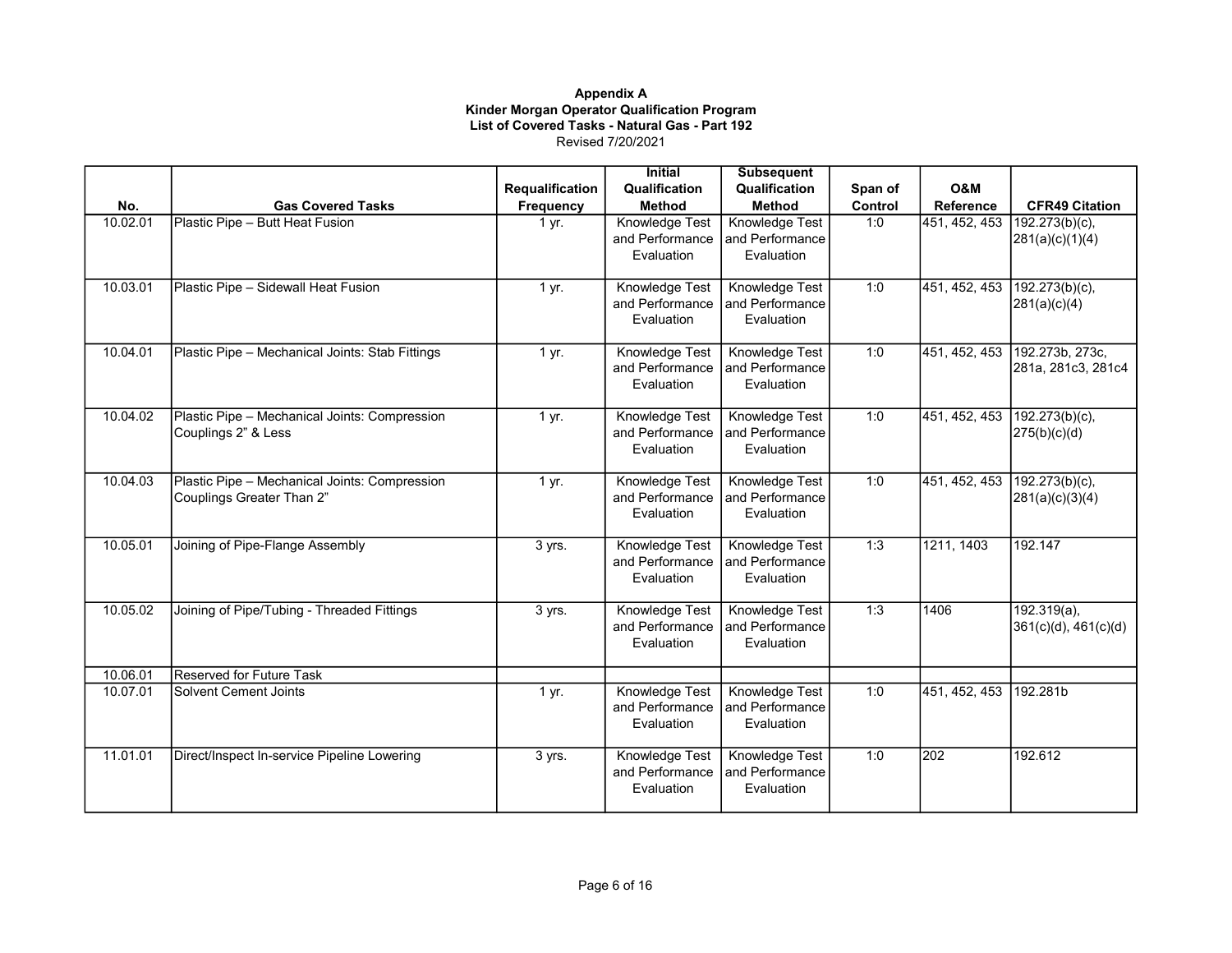|          |                                                                            |                 | <b>Initial</b>                                         | <b>Subsequent</b>                               |         |                              |                                             |
|----------|----------------------------------------------------------------------------|-----------------|--------------------------------------------------------|-------------------------------------------------|---------|------------------------------|---------------------------------------------|
|          |                                                                            | Requalification | Qualification                                          | Qualification                                   | Span of | <b>O&amp;M</b>               |                                             |
| No.      | <b>Gas Covered Tasks</b>                                                   | Frequency       | <b>Method</b>                                          | <b>Method</b>                                   | Control | Reference                    | <b>CFR49 Citation</b>                       |
| 10.02.01 | Plastic Pipe - Butt Heat Fusion                                            | 1 yr.           | Knowledge Test<br>and Performance<br>Evaluation        | Knowledge Test<br>and Performance<br>Evaluation | 1:0     | 451, 452, 453                | $192.273(b)(c)$ ,<br>281(a)(c)(1)(4)        |
| 10.03.01 | Plastic Pipe - Sidewall Heat Fusion                                        | 1 yr.           | <b>Knowledge Test</b>                                  | Knowledge Test                                  | 1:0     | 451, 452, 453                | $192.273(b)(c)$ ,                           |
|          |                                                                            |                 | and Performance<br>Evaluation                          | and Performance<br>Evaluation                   |         |                              | 281(a)(c)(4)                                |
| 10.04.01 | Plastic Pipe - Mechanical Joints: Stab Fittings                            | 1 yr.           | <b>Knowledge Test</b><br>and Performance<br>Evaluation | Knowledge Test<br>and Performance<br>Evaluation | 1:0     | 451, 452, 453                | 192.273b, 273c,<br>281a, 281c3, 281c4       |
| 10.04.02 | Plastic Pipe - Mechanical Joints: Compression<br>Couplings 2" & Less       | 1 yr.           | Knowledge Test<br>and Performance<br>Evaluation        | Knowledge Test<br>and Performance<br>Evaluation | 1:0     | 451, 452, 453 192.273(b)(c), | 275(b)(c)(d)                                |
| 10.04.03 | Plastic Pipe - Mechanical Joints: Compression<br>Couplings Greater Than 2" | 1 yr.           | Knowledge Test<br>and Performance<br>Evaluation        | Knowledge Test<br>and Performance<br>Evaluation | 1:0     | 451, 452, 453                | $\sqrt{192.273(b)}$ (c),<br>281(a)(c)(3)(4) |
| 10.05.01 | Joining of Pipe-Flange Assembly                                            | 3 yrs.          | Knowledge Test<br>and Performance<br>Evaluation        | Knowledge Test<br>and Performance<br>Evaluation | 1:3     | 1211, 1403                   | 192.147                                     |
| 10.05.02 | Joining of Pipe/Tubing - Threaded Fittings                                 | 3 yrs.          | Knowledge Test<br>and Performance<br>Evaluation        | Knowledge Test<br>and Performance<br>Evaluation | 1:3     | 1406                         | $192.319(a)$ ,<br>361(c)(d), 461(c)(d)      |
| 10.06.01 | Reserved for Future Task                                                   |                 |                                                        |                                                 |         |                              |                                             |
| 10.07.01 | Solvent Cement Joints                                                      | 1 yr.           | Knowledge Test<br>and Performance<br>Evaluation        | Knowledge Test<br>and Performance<br>Evaluation | 1:0     | 451, 452, 453 192.281b       |                                             |
| 11.01.01 | Direct/Inspect In-service Pipeline Lowering                                | 3 yrs.          | Knowledge Test<br>and Performance<br>Evaluation        | Knowledge Test<br>and Performance<br>Evaluation | 1:0     | 202                          | 192.612                                     |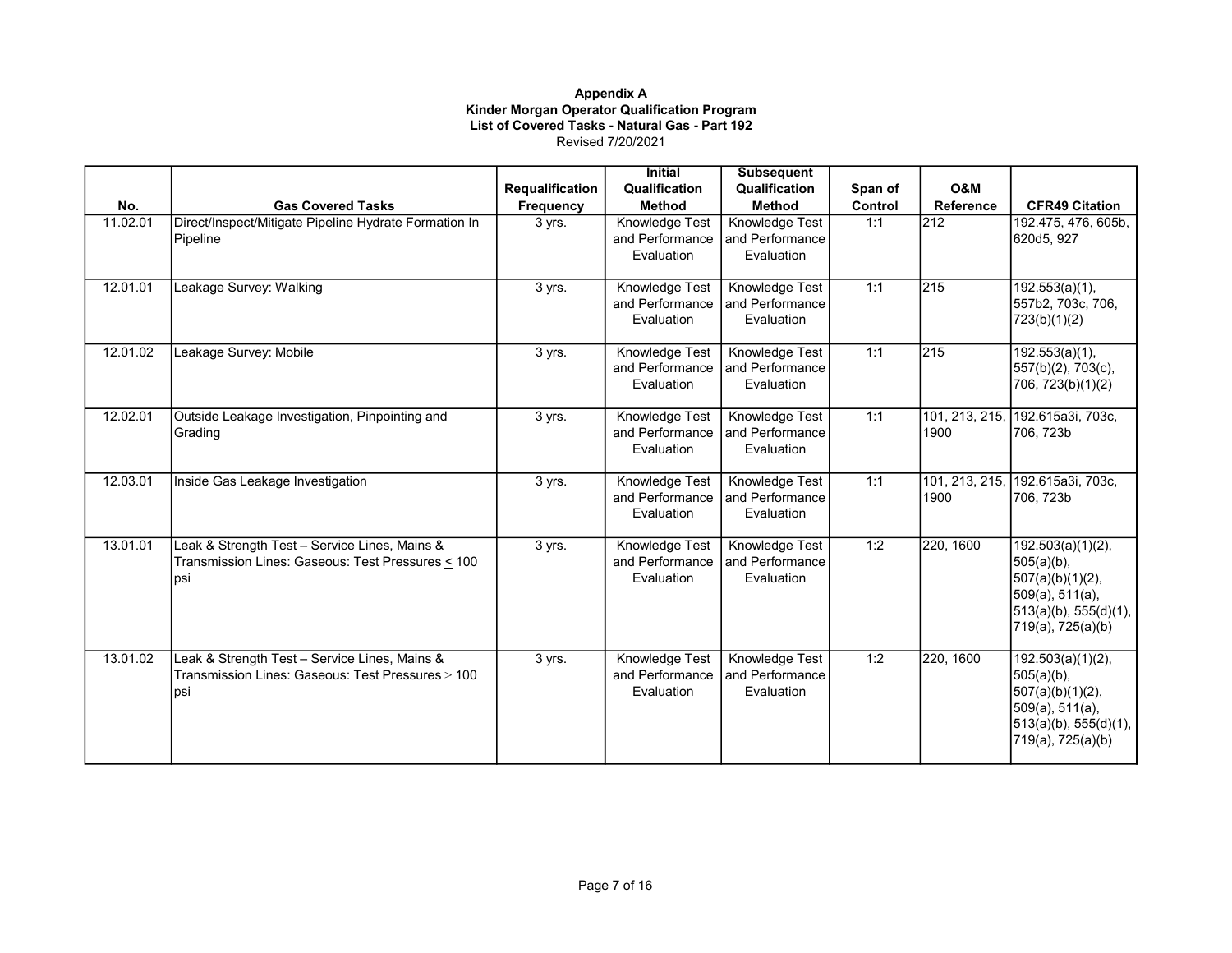|          |                                                       |                        | <b>Initial</b>                | <b>Subsequent</b>             |         |                |                                        |
|----------|-------------------------------------------------------|------------------------|-------------------------------|-------------------------------|---------|----------------|----------------------------------------|
|          |                                                       | <b>Requalification</b> | Qualification                 | Qualification                 | Span of | O&M            |                                        |
| No.      | <b>Gas Covered Tasks</b>                              | Frequency              | <b>Method</b>                 | <b>Method</b>                 | Control | Reference      | <b>CFR49 Citation</b>                  |
| 11.02.01 | Direct/Inspect/Mitigate Pipeline Hydrate Formation In | 3 yrs.                 | Knowledge Test                | Knowledge Test                | 1:1     | 212            | 192.475, 476, 605b,                    |
|          | Pipeline                                              |                        | and Performance               | and Performance               |         |                | 620d5, 927                             |
|          |                                                       |                        | Evaluation                    | Evaluation                    |         |                |                                        |
|          |                                                       |                        |                               |                               |         |                |                                        |
| 12.01.01 | Leakage Survey: Walking                               | 3 yrs.                 | <b>Knowledge Test</b>         | <b>Knowledge Test</b>         | 1:1     | 215            | 192.553(a)(1),                         |
|          |                                                       |                        | and Performance               | and Performance               |         |                | 557b2, 703c, 706,                      |
|          |                                                       |                        | Evaluation                    | Evaluation                    |         |                | 723(b)(1)(2)                           |
| 12.01.02 | Leakage Survey: Mobile                                | 3 yrs.                 | Knowledge Test                | Knowledge Test                | 1:1     | 215            | 192.553(a)(1),                         |
|          |                                                       |                        | and Performance               | and Performance               |         |                | 557(b)(2), 703(c),                     |
|          |                                                       |                        | Evaluation                    | Evaluation                    |         |                | 706, 723(b)(1)(2)                      |
|          |                                                       |                        |                               |                               |         |                |                                        |
| 12.02.01 | Outside Leakage Investigation, Pinpointing and        | 3 yrs.                 | Knowledge Test                | Knowledge Test                | 1:1     | 101, 213, 215, | 192.615a3i, 703c,                      |
|          | Grading                                               |                        | and Performance<br>Evaluation | and Performance<br>Evaluation |         | 1900           | 706, 723b                              |
|          |                                                       |                        |                               |                               |         |                |                                        |
| 12.03.01 | Inside Gas Leakage Investigation                      | 3 yrs.                 | Knowledge Test                | Knowledge Test                | 1:1     | 101, 213, 215, | 192.615a3i, 703c,                      |
|          |                                                       |                        | and Performance               | and Performance               |         | 1900           | 706, 723b                              |
|          |                                                       |                        | Evaluation                    | Evaluation                    |         |                |                                        |
| 13.01.01 | Leak & Strength Test - Service Lines, Mains &         | 3 yrs.                 | Knowledge Test                | <b>Knowledge Test</b>         | 1:2     | 220, 1600      | 192.503(a)(1)(2),                      |
|          | Transmission Lines: Gaseous: Test Pressures < 100     |                        | and Performance               | and Performance               |         |                | $505(a)(b)$ ,                          |
|          | psi                                                   |                        | Evaluation                    | Evaluation                    |         |                | $507(a)(b)(1)(2)$ ,                    |
|          |                                                       |                        |                               |                               |         |                | 509(a), 511(a),                        |
|          |                                                       |                        |                               |                               |         |                | 513(a)(b), 555(d)(1),                  |
|          |                                                       |                        |                               |                               |         |                | 719(a), 725(a)(b)                      |
|          |                                                       |                        |                               |                               |         |                |                                        |
| 13.01.02 | Leak & Strength Test - Service Lines, Mains &         | 3 yrs.                 | Knowledge Test                | Knowledge Test                | 1:2     | 220, 1600      | 192.503(a)(1)(2),                      |
|          | Transmission Lines: Gaseous: Test Pressures > 100     |                        | and Performance               | and Performance               |         |                | $505(a)(b)$ ,                          |
|          | Ipsi                                                  |                        | Evaluation                    | Evaluation                    |         |                | $507(a)(b)(1)(2)$ ,<br>509(a), 511(a), |
|          |                                                       |                        |                               |                               |         |                | $513(a)(b)$ , 555(d)(1),               |
|          |                                                       |                        |                               |                               |         |                | 719(a), 725(a)(b)                      |
|          |                                                       |                        |                               |                               |         |                |                                        |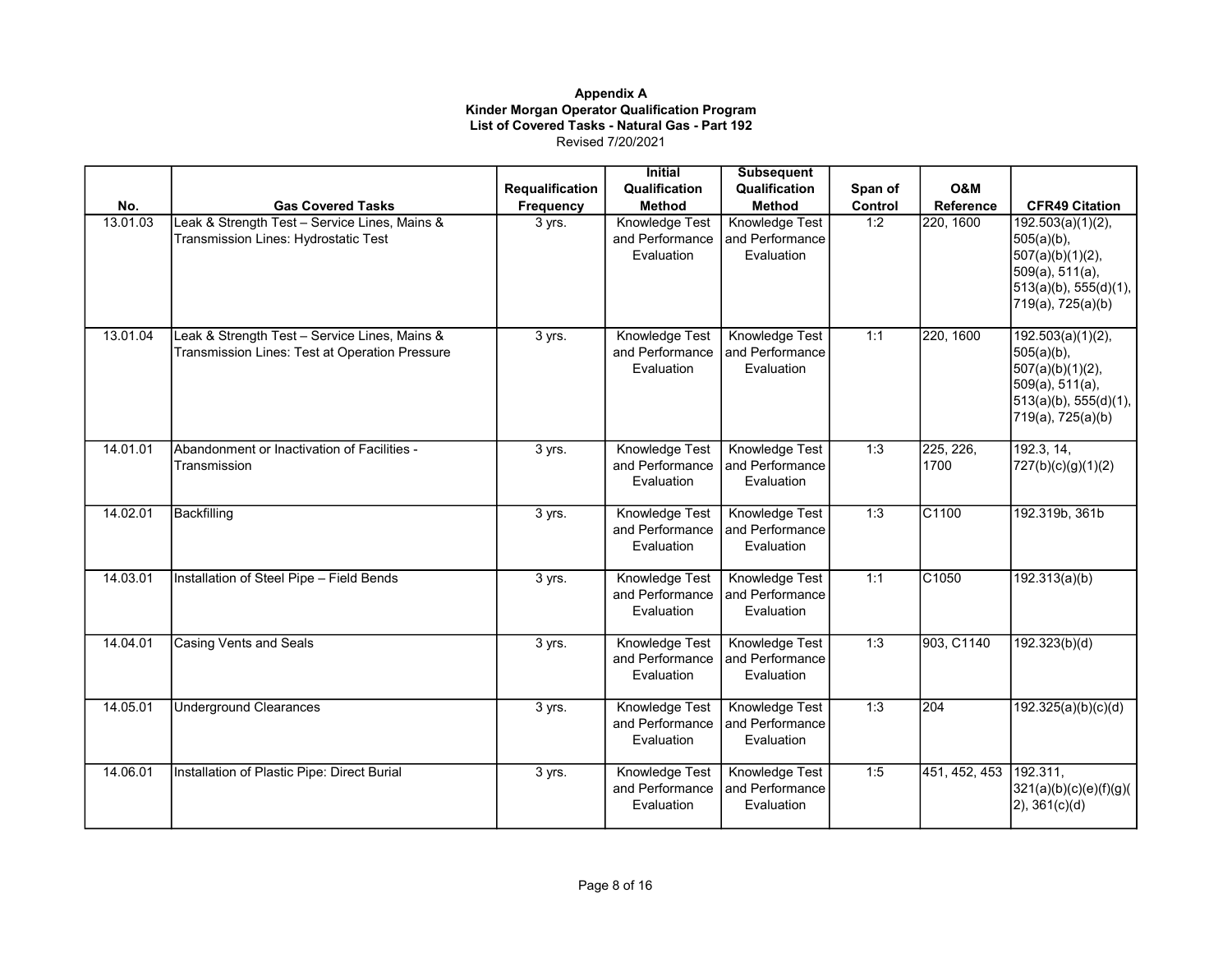|          |                                                                                                 |                 | <b>Initial</b>                                  | <b>Subsequent</b>                               |         |                   |                                                                                                                            |
|----------|-------------------------------------------------------------------------------------------------|-----------------|-------------------------------------------------|-------------------------------------------------|---------|-------------------|----------------------------------------------------------------------------------------------------------------------------|
|          |                                                                                                 | Requalification | Qualification                                   | Qualification                                   | Span of | <b>O&amp;M</b>    |                                                                                                                            |
| No.      | <b>Gas Covered Tasks</b>                                                                        | Frequency       | <b>Method</b>                                   | <b>Method</b>                                   | Control | Reference         | <b>CFR49 Citation</b>                                                                                                      |
| 13.01.03 | Leak & Strength Test - Service Lines, Mains &<br>Transmission Lines: Hydrostatic Test           | 3 yrs.          | Knowledge Test<br>and Performance<br>Evaluation | Knowledge Test<br>and Performance<br>Evaluation | 1:2     | 220, 1600         | 192.503(a)(1)(2),<br>505(a)(b),<br>$507(a)(b)(1)(2)$ ,<br>509(a), 511(a),<br>513(a)(b), 555(d)(1),<br>719(a), 725(a)(b)    |
| 13.01.04 | Leak & Strength Test - Service Lines, Mains &<br>Transmission Lines: Test at Operation Pressure | 3 yrs.          | Knowledge Test<br>and Performance<br>Evaluation | Knowledge Test<br>and Performance<br>Evaluation | 1:1     | 220, 1600         | 192.503(a)(1)(2),<br>$505(a)(b)$ ,<br>$507(a)(b)(1)(2)$ ,<br>509(a), 511(a),<br>513(a)(b), 555(d)(1),<br>719(a), 725(a)(b) |
| 14.01.01 | Abandonment or Inactivation of Facilities -<br>Transmission                                     | 3 yrs.          | Knowledge Test<br>and Performance<br>Evaluation | Knowledge Test<br>and Performance<br>Evaluation | 1:3     | 225, 226,<br>1700 | 192.3, 14,<br>727(b)(c)(g)(1)(2)                                                                                           |
| 14.02.01 | <b>Backfilling</b>                                                                              | 3 yrs.          | Knowledge Test<br>and Performance<br>Evaluation | Knowledge Test<br>and Performance<br>Evaluation | 1:3     | C1100             | 192.319b, 361b                                                                                                             |
| 14.03.01 | Installation of Steel Pipe - Field Bends                                                        | 3 yrs.          | Knowledge Test<br>and Performance<br>Evaluation | Knowledge Test<br>and Performance<br>Evaluation | 1:1     | C1050             | 192.313(a)(b)                                                                                                              |
| 14.04.01 | <b>Casing Vents and Seals</b>                                                                   | 3 yrs.          | Knowledge Test<br>and Performance<br>Evaluation | Knowledge Test<br>and Performance<br>Evaluation | 1:3     | 903, C1140        | 192.323(b)(d)                                                                                                              |
| 14.05.01 | <b>Underground Clearances</b>                                                                   | 3 yrs.          | Knowledge Test<br>and Performance<br>Evaluation | Knowledge Test<br>and Performance<br>Evaluation | 1:3     | 204               | 192.325(a)(b)(c)(d)                                                                                                        |
| 14.06.01 | Installation of Plastic Pipe: Direct Burial                                                     | 3 yrs.          | Knowledge Test<br>and Performance<br>Evaluation | Knowledge Test<br>and Performance<br>Evaluation | 1:5     | 451, 452, 453     | 192.311,<br>321(a)(b)(c)(e)(f)(g)(h)<br>$2)$ , 361(c)(d)                                                                   |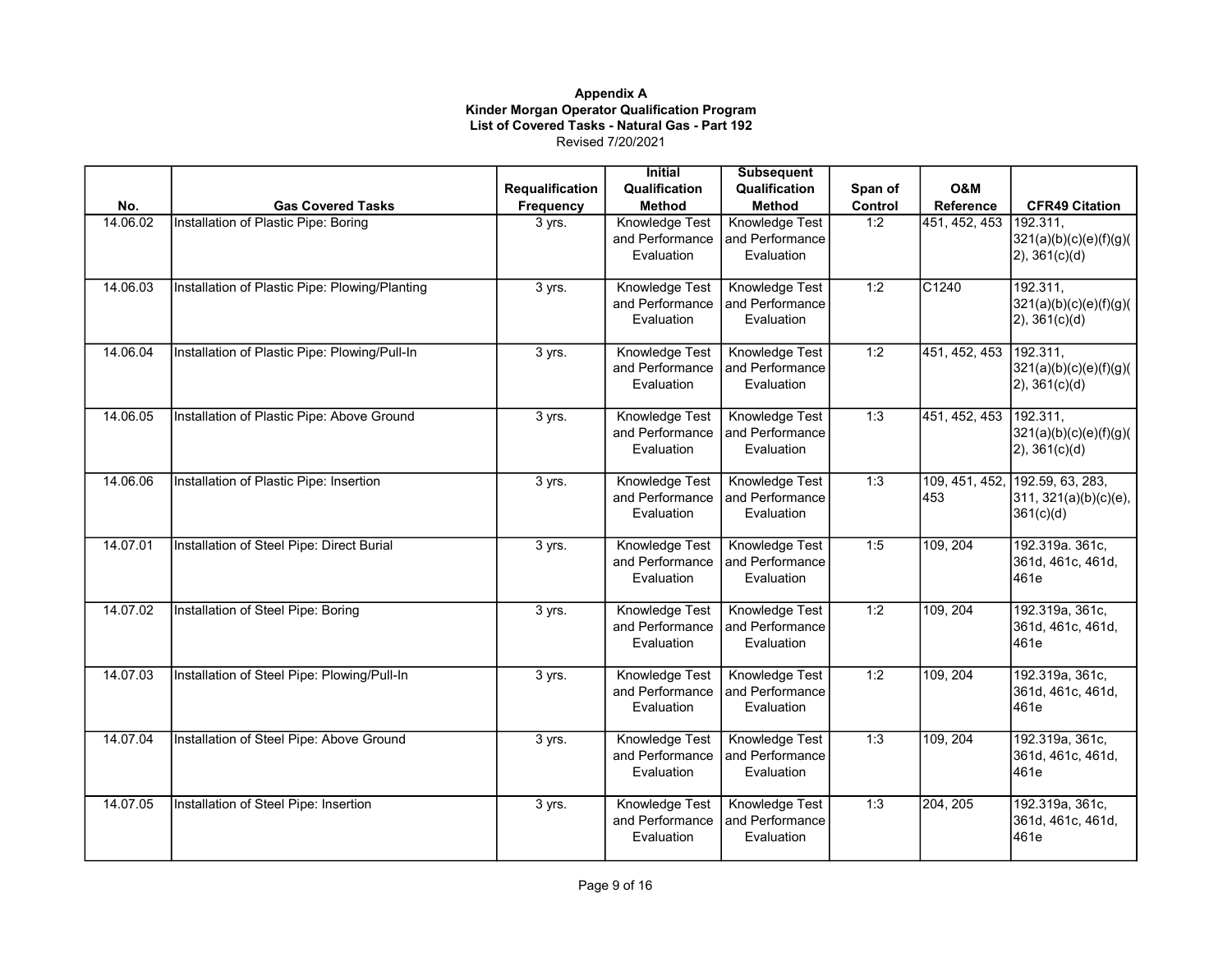|          |                                                |                 | <b>Initial</b>                           | <b>Subsequent</b>     |         |                  |                                 |
|----------|------------------------------------------------|-----------------|------------------------------------------|-----------------------|---------|------------------|---------------------------------|
|          |                                                | Requalification | Qualification                            | Qualification         | Span of | <b>O&amp;M</b>   |                                 |
| No.      | <b>Gas Covered Tasks</b>                       | Frequency       | <b>Method</b>                            | <b>Method</b>         | Control | <b>Reference</b> | <b>CFR49 Citation</b>           |
| 14.06.02 | Installation of Plastic Pipe: Boring           | 3 yrs.          | Knowledge Test                           | Knowledge Test        | 1:2     | 451, 452, 453    | 192.311,                        |
|          |                                                |                 | and Performance                          | and Performance       |         |                  | 321(a)(b)(c)(e)(f)(g)(          |
|          |                                                |                 | Evaluation                               | Evaluation            |         |                  | $(2)$ , 361(c)(d)               |
| 14.06.03 | Installation of Plastic Pipe: Plowing/Planting |                 |                                          | Knowledge Test        | 1:2     | C1240            | 192.311,                        |
|          |                                                | 3 yrs.          | <b>Knowledge Test</b><br>and Performance | and Performance       |         |                  | 321(a)(b)(c)(e)(f)(g)(          |
|          |                                                |                 | Evaluation                               | Evaluation            |         |                  | $(2)$ , 361(c)(d)               |
|          |                                                |                 |                                          |                       |         |                  |                                 |
| 14.06.04 | Installation of Plastic Pipe: Plowing/Pull-In  | 3 yrs.          | Knowledge Test                           | Knowledge Test        | 1:2     | 451, 452, 453    | 192.311,                        |
|          |                                                |                 | and Performance                          | and Performance       |         |                  | 321(a)(b)(c)(e)(f)(g)(          |
|          |                                                |                 | Evaluation                               | Evaluation            |         |                  | $(2)$ , 361(c)(d)               |
| 14.06.05 | Installation of Plastic Pipe: Above Ground     | 3 yrs.          | Knowledge Test                           | Knowledge Test        | 1:3     | 451, 452, 453    | 192.311,                        |
|          |                                                |                 | and Performance                          | and Performance       |         |                  | 321(a)(b)(c)(e)(f)(g)(          |
|          |                                                |                 | Evaluation                               | Evaluation            |         |                  | $(2)$ , 361(c)(d)               |
|          |                                                |                 |                                          |                       |         |                  |                                 |
| 14.06.06 | Installation of Plastic Pipe: Insertion        | 3 yrs.          | Knowledge Test                           | Knowledge Test        | 1:3     |                  | 109, 451, 452, 192.59, 63, 283, |
|          |                                                |                 | and Performance                          | and Performance       |         | 453              | 311, 321(a)(b)(c)(e),           |
|          |                                                |                 | Evaluation                               | Evaluation            |         |                  | 361(c)(d)                       |
| 14.07.01 | Installation of Steel Pipe: Direct Burial      |                 | Knowledge Test                           | Knowledge Test        | 1:5     | 109, 204         | 192.319a. 361c,                 |
|          |                                                | 3 yrs.          | and Performance                          | and Performance       |         |                  | 361d, 461c, 461d,               |
|          |                                                |                 | Evaluation                               | Evaluation            |         |                  | 461e                            |
|          |                                                |                 |                                          |                       |         |                  |                                 |
| 14.07.02 | Installation of Steel Pipe: Boring             | 3 yrs.          | Knowledge Test                           | Knowledge Test        | 1:2     | 109, 204         | 192.319a, 361c,                 |
|          |                                                |                 | and Performance                          | and Performance       |         |                  | 361d, 461c, 461d,               |
|          |                                                |                 | Evaluation                               | Evaluation            |         |                  | 461e                            |
| 14.07.03 | Installation of Steel Pipe: Plowing/Pull-In    | 3 yrs.          | Knowledge Test                           | Knowledge Test        | 1:2     | 109, 204         | 192.319a, 361c,                 |
|          |                                                |                 | and Performance                          | and Performance       |         |                  | 361d, 461c, 461d,               |
|          |                                                |                 | Evaluation                               | Evaluation            |         |                  | 461e                            |
|          |                                                |                 |                                          |                       |         |                  |                                 |
| 14.07.04 | Installation of Steel Pipe: Above Ground       | 3 yrs.          | Knowledge Test                           | Knowledge Test        | 1:3     | 109, 204         | 192.319a, 361c,                 |
|          |                                                |                 | and Performance                          | and Performance       |         |                  | 361d, 461c, 461d,               |
|          |                                                |                 | Evaluation                               | Evaluation            |         |                  | 461e                            |
| 14.07.05 | Installation of Steel Pipe: Insertion          | 3 yrs.          | Knowledge Test                           | <b>Knowledge Test</b> | 1:3     | 204, 205         | 192.319a, 361c,                 |
|          |                                                |                 | and Performance                          | and Performance       |         |                  | 361d, 461c, 461d,               |
|          |                                                |                 | Evaluation                               | Evaluation            |         |                  | 461e                            |
|          |                                                |                 |                                          |                       |         |                  |                                 |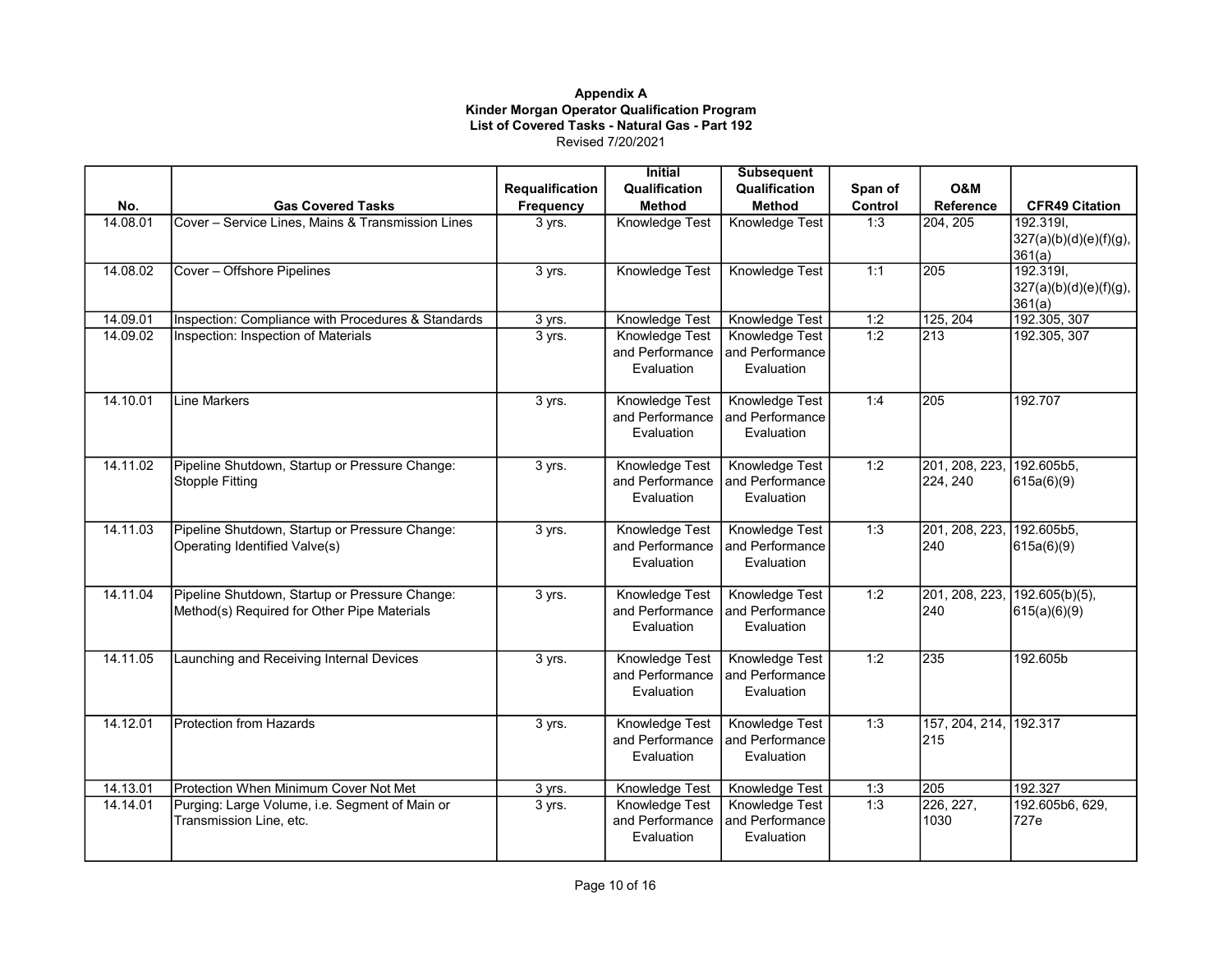|          |                                                                                               |                        | <b>Initial</b>                                         | <b>Subsequent</b>                               |         |                                       |                                               |
|----------|-----------------------------------------------------------------------------------------------|------------------------|--------------------------------------------------------|-------------------------------------------------|---------|---------------------------------------|-----------------------------------------------|
|          |                                                                                               | <b>Requalification</b> | Qualification                                          | Qualification                                   | Span of | <b>O&amp;M</b>                        |                                               |
| No.      | <b>Gas Covered Tasks</b>                                                                      | Frequency              | <b>Method</b>                                          | <b>Method</b>                                   | Control | Reference                             | <b>CFR49 Citation</b>                         |
| 14.08.01 | Cover - Service Lines, Mains & Transmission Lines                                             | 3 yrs.                 | Knowledge Test                                         | Knowledge Test                                  | 1:3     | 204, 205                              | 192.319I,<br>327(a)(b)(d)(e)(f)(g),<br>361(a) |
| 14.08.02 | Cover - Offshore Pipelines                                                                    | 3 yrs.                 | <b>Knowledge Test</b>                                  | Knowledge Test                                  | 1:1     | 205                                   | 192.319I,<br>327(a)(b)(d)(e)(f)(g),<br>361(a) |
| 14.09.01 | Inspection: Compliance with Procedures & Standards                                            | 3 yrs.                 | Knowledge Test                                         | Knowledge Test                                  | 1:2     | 125, 204                              | 192.305, 307                                  |
| 14.09.02 | Inspection: Inspection of Materials                                                           | 3 yrs.                 | Knowledge Test<br>and Performance<br>Evaluation        | Knowledge Test<br>and Performance<br>Evaluation | 1:2     | $\sqrt{213}$                          | 192.305, 307                                  |
| 14.10.01 | <b>Line Markers</b>                                                                           | 3 yrs.                 | Knowledge Test<br>and Performance<br>Evaluation        | Knowledge Test<br>and Performance<br>Evaluation | 1:4     | 205                                   | 192.707                                       |
| 14.11.02 | Pipeline Shutdown, Startup or Pressure Change:<br><b>Stopple Fitting</b>                      | 3 yrs.                 | <b>Knowledge Test</b><br>and Performance<br>Evaluation | Knowledge Test<br>and Performance<br>Evaluation | 1:2     | 201, 208, 223, 192.605b5,<br>224, 240 | 615a(6)(9)                                    |
| 14.11.03 | Pipeline Shutdown, Startup or Pressure Change:<br>Operating Identified Valve(s)               | 3 yrs.                 | Knowledge Test<br>and Performance<br>Evaluation        | Knowledge Test<br>and Performance<br>Evaluation | 1:3     | 201, 208, 223, 192.605b5,<br>240      | 615a(6)(9)                                    |
| 14.11.04 | Pipeline Shutdown, Startup or Pressure Change:<br>Method(s) Required for Other Pipe Materials | 3 yrs.                 | Knowledge Test<br>and Performance<br>Evaluation        | Knowledge Test<br>and Performance<br>Evaluation | 1:2     | 240                                   | 201, 208, 223, 192.605(b)(5),<br>615(a)(6)(9) |
| 14.11.05 | Launching and Receiving Internal Devices                                                      | 3 yrs.                 | Knowledge Test<br>and Performance<br>Evaluation        | Knowledge Test<br>and Performance<br>Evaluation | 1:2     | 235                                   | 192.605b                                      |
| 14.12.01 | Protection from Hazards                                                                       | 3 yrs.                 | <b>Knowledge Test</b><br>and Performance<br>Evaluation | Knowledge Test<br>and Performance<br>Evaluation | 1:3     | 157, 204, 214, 192.317<br>215         |                                               |
| 14.13.01 | Protection When Minimum Cover Not Met                                                         | 3 yrs.                 | Knowledge Test                                         | Knowledge Test                                  | 1:3     | 205                                   | 192.327                                       |
| 14.14.01 | Purging: Large Volume, i.e. Segment of Main or<br>Transmission Line, etc.                     | 3 yrs.                 | Knowledge Test<br>and Performance<br>Evaluation        | Knowledge Test<br>and Performance<br>Evaluation | 1:3     | 226, 227,<br>1030                     | 192.605b6, 629,<br>727e                       |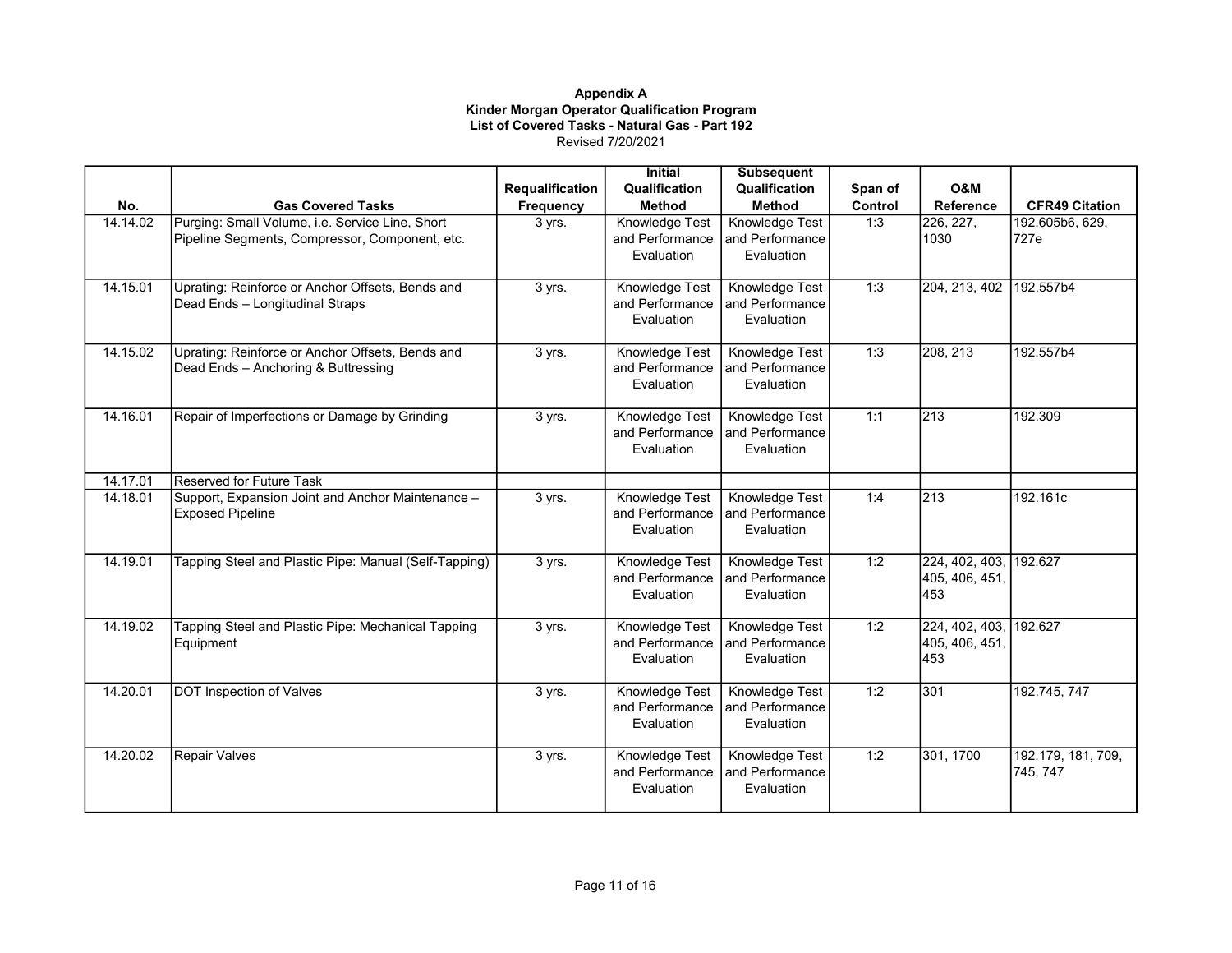|          |                                                       |                        | <b>Initial</b>                    | <b>Subsequent</b>                        |         |                        |                                |
|----------|-------------------------------------------------------|------------------------|-----------------------------------|------------------------------------------|---------|------------------------|--------------------------------|
|          |                                                       | <b>Requalification</b> | Qualification                     | Qualification                            | Span of | <b>O&amp;M</b>         |                                |
| No.      | <b>Gas Covered Tasks</b>                              | Frequency              | <b>Method</b>                     | <b>Method</b>                            | Control | <b>Reference</b>       | <b>CFR49 Citation</b>          |
| 14.14.02 | Purging: Small Volume, i.e. Service Line, Short       | 3 yrs.                 | Knowledge Test                    | Knowledge Test                           | 1:3     | $\sqrt{226, 227}$      | 192.605b6, 629,                |
|          | Pipeline Segments, Compressor, Component, etc.        |                        | and Performance                   | and Performance                          |         | 1030                   | 727e                           |
|          |                                                       |                        | Evaluation                        | Evaluation                               |         |                        |                                |
|          |                                                       |                        |                                   |                                          |         |                        |                                |
| 14.15.01 | Uprating: Reinforce or Anchor Offsets, Bends and      | 3 yrs.                 | Knowledge Test                    | <b>Knowledge Test</b>                    | 1:3     | 204, 213, 402          | 192.557b4                      |
|          | Dead Ends - Longitudinal Straps                       |                        | and Performance                   | and Performance                          |         |                        |                                |
|          |                                                       |                        | Evaluation                        | Evaluation                               |         |                        |                                |
| 14.15.02 | Uprating: Reinforce or Anchor Offsets, Bends and      | 3 yrs.                 | Knowledge Test                    | Knowledge Test                           | 1:3     | 208, 213               | 192.557b4                      |
|          | Dead Ends - Anchoring & Buttressing                   |                        | and Performance                   | and Performance                          |         |                        |                                |
|          |                                                       |                        | Evaluation                        | Evaluation                               |         |                        |                                |
|          |                                                       |                        |                                   |                                          |         |                        |                                |
| 14.16.01 | Repair of Imperfections or Damage by Grinding         | 3 yrs.                 | Knowledge Test                    | Knowledge Test                           | 1:1     | 213                    | 192.309                        |
|          |                                                       |                        | and Performance                   | and Performance                          |         |                        |                                |
|          |                                                       |                        | Evaluation                        | Evaluation                               |         |                        |                                |
|          |                                                       |                        |                                   |                                          |         |                        |                                |
| 14.17.01 | Reserved for Future Task                              |                        |                                   |                                          |         |                        |                                |
| 14.18.01 | Support, Expansion Joint and Anchor Maintenance -     | 3 yrs.                 | Knowledge Test                    | <b>Knowledge Test</b>                    | 1:4     | $ 213\rangle$          | 192.161c                       |
|          | <b>Exposed Pipeline</b>                               |                        | and Performance                   | and Performance                          |         |                        |                                |
|          |                                                       |                        | Evaluation                        | Evaluation                               |         |                        |                                |
| 14.19.01 | Tapping Steel and Plastic Pipe: Manual (Self-Tapping) | 3 yrs.                 | Knowledge Test                    | Knowledge Test                           | 1:2     | 224, 402, 403, 192.627 |                                |
|          |                                                       |                        | and Performance                   | and Performance                          |         | 405, 406, 451,         |                                |
|          |                                                       |                        | Evaluation                        | Evaluation                               |         | 453                    |                                |
|          |                                                       |                        |                                   |                                          |         |                        |                                |
| 14.19.02 | Tapping Steel and Plastic Pipe: Mechanical Tapping    | 3 yrs.                 | Knowledge Test                    | Knowledge Test                           | 1:2     | 224, 402, 403, 192.627 |                                |
|          | Equipment                                             |                        | and Performance                   | and Performance                          |         | 405, 406, 451,         |                                |
|          |                                                       |                        | Evaluation                        | Evaluation                               |         | 453                    |                                |
| 14.20.01 | <b>DOT Inspection of Valves</b>                       | 3 yrs.                 | Knowledge Test                    | Knowledge Test                           | 1:2     | 301                    | 192.745, 747                   |
|          |                                                       |                        | and Performance                   | and Performance                          |         |                        |                                |
|          |                                                       |                        | Evaluation                        | Evaluation                               |         |                        |                                |
|          |                                                       |                        |                                   |                                          |         |                        |                                |
| 14.20.02 | <b>Repair Valves</b>                                  | 3 yrs.                 | Knowledge Test<br>and Performance | <b>Knowledge Test</b><br>and Performance | 1:2     | 301, 1700              | 192.179, 181, 709,<br>745, 747 |
|          |                                                       |                        | Evaluation                        | Evaluation                               |         |                        |                                |
|          |                                                       |                        |                                   |                                          |         |                        |                                |
|          |                                                       |                        |                                   |                                          |         |                        |                                |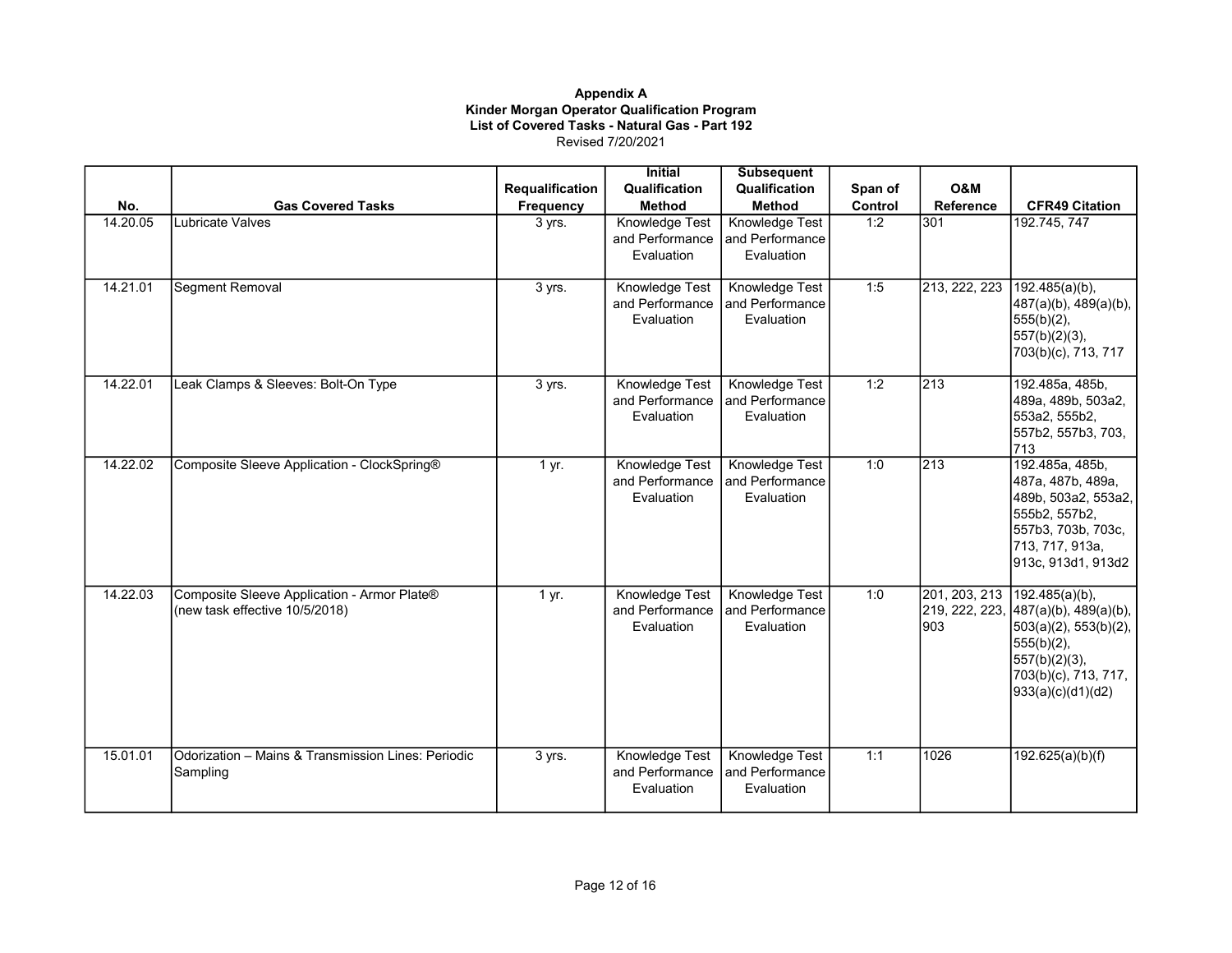|          |                                                                               |                        | <b>Initial</b>                                  | <b>Subsequent</b>                                      |         |                                         |                                                                                                                                                          |
|----------|-------------------------------------------------------------------------------|------------------------|-------------------------------------------------|--------------------------------------------------------|---------|-----------------------------------------|----------------------------------------------------------------------------------------------------------------------------------------------------------|
|          |                                                                               | <b>Requalification</b> | Qualification                                   | Qualification                                          | Span of | O&M                                     |                                                                                                                                                          |
| No.      | <b>Gas Covered Tasks</b>                                                      | Frequency              | <b>Method</b>                                   | <b>Method</b>                                          | Control | <b>Reference</b>                        | <b>CFR49 Citation</b>                                                                                                                                    |
| 14.20.05 | Lubricate Valves                                                              | 3 yrs.                 | Knowledge Test<br>and Performance<br>Evaluation | Knowledge Test<br>and Performance<br>Evaluation        | 1:2     | 301                                     | 192.745, 747                                                                                                                                             |
| 14.21.01 | Segment Removal                                                               | 3 yrs.                 | Knowledge Test<br>and Performance<br>Evaluation | Knowledge Test<br>and Performance<br>Evaluation        | 1:5     | 213, 222, 223                           | $192.485(a)(b)$ ,<br>487(a)(b), 489(a)(b),<br>$555(b)(2)$ ,<br>$557(b)(2)(3)$ ,<br>703(b)(c), 713, 717                                                   |
| 14.22.01 | Leak Clamps & Sleeves: Bolt-On Type                                           | 3 yrs.                 | Knowledge Test<br>and Performance<br>Evaluation | <b>Knowledge Test</b><br>and Performance<br>Evaluation | 1:2     | $\sqrt{213}$                            | 192.485a, 485b,<br>489a, 489b, 503a2,<br>553a2, 555b2,<br>557b2, 557b3, 703,<br>713                                                                      |
| 14.22.02 | Composite Sleeve Application - ClockSpring®                                   | 1 yr.                  | Knowledge Test<br>and Performance<br>Evaluation | Knowledge Test<br>and Performance<br>Evaluation        | 1:0     | $\sqrt{213}$                            | 192.485a, 485b,<br>487a, 487b, 489a,<br>489b, 503a2, 553a2,<br>555b2, 557b2,<br>557b3, 703b, 703c,<br>713, 717, 913a,<br>913c, 913d1, 913d2              |
| 14.22.03 | Composite Sleeve Application - Armor Plate®<br>(new task effective 10/5/2018) | 1 yr.                  | Knowledge Test<br>and Performance<br>Evaluation | Knowledge Test<br>and Performance<br>Evaluation        | 1:0     | 201, 203, 213<br>219, 222, 223,<br>1903 | $192.485(a)(b)$ ,<br>487(a)(b), 489(a)(b),<br>$503(a)(2)$ , 553(b)(2),<br>$555(b)(2)$ ,<br>$557(b)(2)(3)$ ,<br>703(b)(c), 713, 717,<br>933(a)(c)(d1)(d2) |
| 15.01.01 | Odorization - Mains & Transmission Lines: Periodic<br>Sampling                | 3 yrs.                 | Knowledge Test<br>and Performance<br>Evaluation | <b>Knowledge Test</b><br>and Performance<br>Evaluation | 1:1     | 1026                                    | 192.625(a)(b)(f)                                                                                                                                         |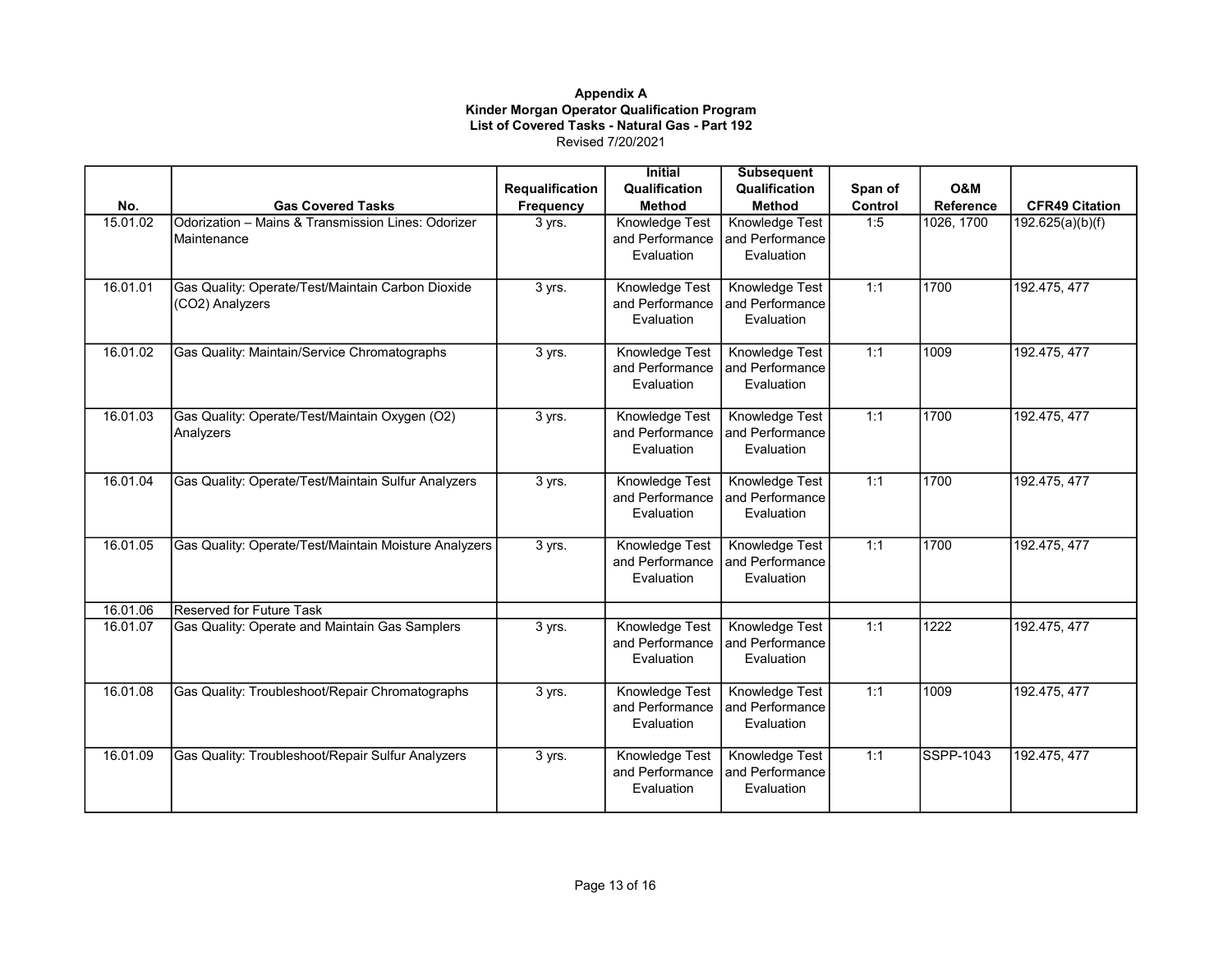|          |                                                       |                        | <b>Initial</b>  | <b>Subsequent</b>     |         |            |                       |
|----------|-------------------------------------------------------|------------------------|-----------------|-----------------------|---------|------------|-----------------------|
|          |                                                       | <b>Requalification</b> | Qualification   | Qualification         | Span of | O&M        |                       |
| No.      | <b>Gas Covered Tasks</b>                              | Frequency              | <b>Method</b>   | <b>Method</b>         | Control | Reference  | <b>CFR49 Citation</b> |
| 15.01.02 | Odorization - Mains & Transmission Lines: Odorizer    | 3 yrs.                 | Knowledge Test  | Knowledge Test        | 1:5     | 1026, 1700 | 192.625(a)(b)(f)      |
|          | Maintenance                                           |                        | and Performance | and Performance       |         |            |                       |
|          |                                                       |                        | Evaluation      | Evaluation            |         |            |                       |
|          |                                                       |                        |                 |                       |         |            |                       |
| 16.01.01 | Gas Quality: Operate/Test/Maintain Carbon Dioxide     | 3 yrs.                 | Knowledge Test  | Knowledge Test        | 1:1     | 1700       | 192.475, 477          |
|          | (CO2) Analyzers                                       |                        | and Performance | and Performance       |         |            |                       |
|          |                                                       |                        | Evaluation      | Evaluation            |         |            |                       |
|          |                                                       |                        |                 |                       |         |            |                       |
| 16.01.02 | Gas Quality: Maintain/Service Chromatographs          | 3 yrs.                 | Knowledge Test  | <b>Knowledge Test</b> | 1:1     | 1009       | 192.475, 477          |
|          |                                                       |                        | and Performance | and Performance       |         |            |                       |
|          |                                                       |                        | Evaluation      | Evaluation            |         |            |                       |
| 16.01.03 | Gas Quality: Operate/Test/Maintain Oxygen (O2)        | 3 yrs.                 | Knowledge Test  | Knowledge Test        | 1:1     | 1700       | 192.475, 477          |
|          | Analyzers                                             |                        | and Performance | and Performance       |         |            |                       |
|          |                                                       |                        | Evaluation      | Evaluation            |         |            |                       |
|          |                                                       |                        |                 |                       |         |            |                       |
| 16.01.04 | Gas Quality: Operate/Test/Maintain Sulfur Analyzers   | 3 yrs.                 | Knowledge Test  | Knowledge Test        | 1:1     | 1700       | 192.475, 477          |
|          |                                                       |                        | and Performance | and Performance       |         |            |                       |
|          |                                                       |                        | Evaluation      | Evaluation            |         |            |                       |
|          |                                                       |                        |                 |                       |         |            |                       |
| 16.01.05 | Gas Quality: Operate/Test/Maintain Moisture Analyzers | 3 yrs.                 | Knowledge Test  | Knowledge Test        | 1:1     | 1700       | 192.475, 477          |
|          |                                                       |                        | and Performance | and Performance       |         |            |                       |
|          |                                                       |                        | Evaluation      | Evaluation            |         |            |                       |
| 16.01.06 | <b>Reserved for Future Task</b>                       |                        |                 |                       |         |            |                       |
| 16.01.07 | Gas Quality: Operate and Maintain Gas Samplers        | 3 yrs.                 | Knowledge Test  | Knowledge Test        | 1:1     | 1222       | 192.475, 477          |
|          |                                                       |                        | and Performance | and Performance       |         |            |                       |
|          |                                                       |                        | Evaluation      | Evaluation            |         |            |                       |
|          |                                                       |                        |                 |                       |         |            |                       |
| 16.01.08 | Gas Quality: Troubleshoot/Repair Chromatographs       | 3 yrs.                 | Knowledge Test  | Knowledge Test        | 1:1     | 1009       | 192.475, 477          |
|          |                                                       |                        | and Performance | and Performance       |         |            |                       |
|          |                                                       |                        | Evaluation      | Evaluation            |         |            |                       |
|          |                                                       |                        |                 |                       |         |            |                       |
| 16.01.09 | Gas Quality: Troubleshoot/Repair Sulfur Analyzers     | 3 yrs.                 | Knowledge Test  | Knowledge Test        | 1:1     | SSPP-1043  | 192.475, 477          |
|          |                                                       |                        | and Performance | and Performance       |         |            |                       |
|          |                                                       |                        | Evaluation      | Evaluation            |         |            |                       |
|          |                                                       |                        |                 |                       |         |            |                       |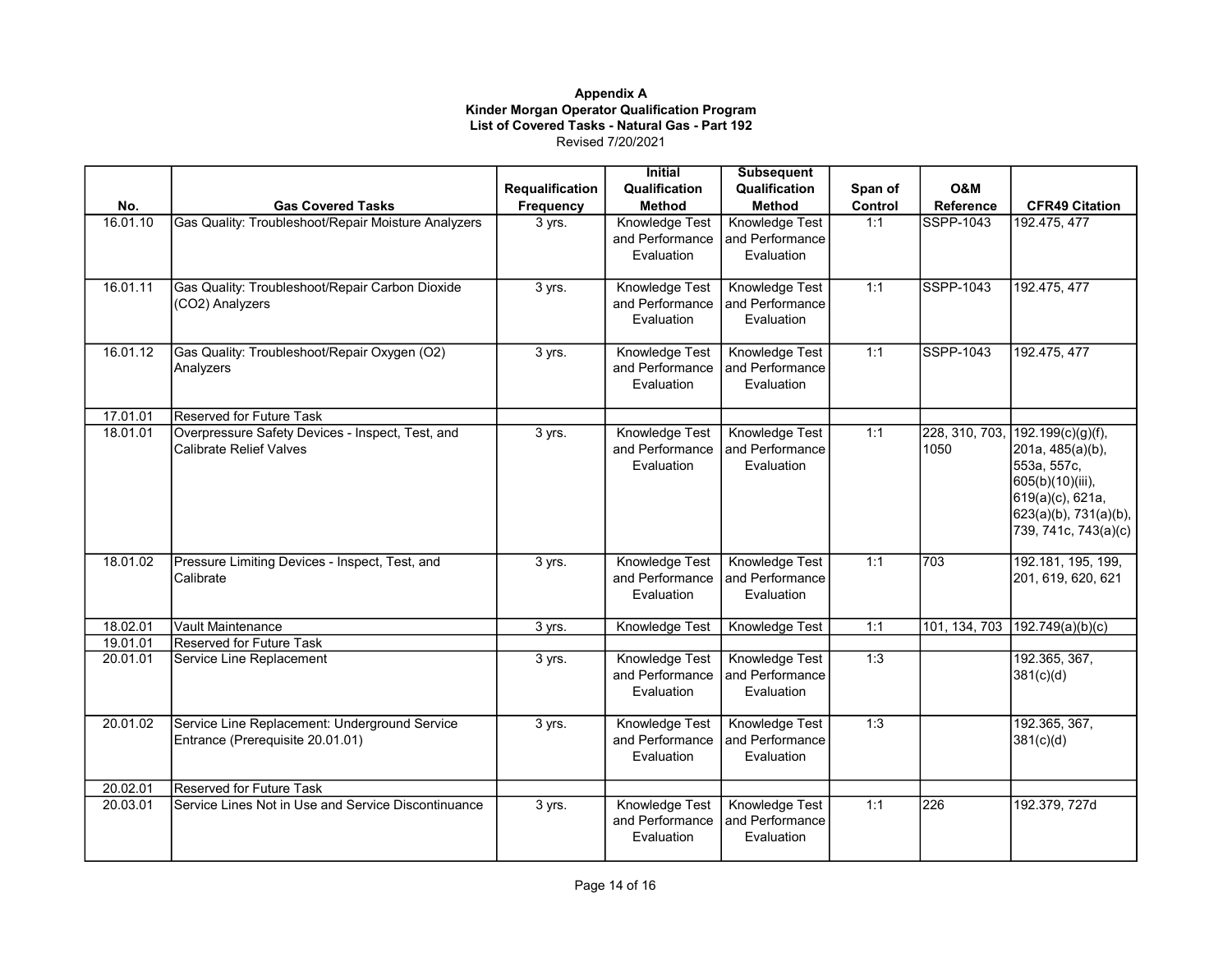|          |                                                     |                 | <b>Initial</b>  | <b>Subsequent</b>     |         |                |                                           |
|----------|-----------------------------------------------------|-----------------|-----------------|-----------------------|---------|----------------|-------------------------------------------|
|          |                                                     | Requalification | Qualification   | Qualification         | Span of | <b>O&amp;M</b> |                                           |
| No.      | <b>Gas Covered Tasks</b>                            | Frequency       | Method          | <b>Method</b>         | Control | Reference      | <b>CFR49 Citation</b>                     |
| 16.01.10 | Gas Quality: Troubleshoot/Repair Moisture Analyzers | 3 yrs.          | Knowledge Test  | Knowledge Test        | 1:1     | SSPP-1043      | 192.475, 477                              |
|          |                                                     |                 | and Performance | and Performance       |         |                |                                           |
|          |                                                     |                 | Evaluation      | Evaluation            |         |                |                                           |
| 16.01.11 | Gas Quality: Troubleshoot/Repair Carbon Dioxide     | 3 yrs.          | Knowledge Test  | <b>Knowledge Test</b> | 1:1     | SSPP-1043      | 192.475, 477                              |
|          | (CO2) Analyzers                                     |                 | and Performance | and Performance       |         |                |                                           |
|          |                                                     |                 | Evaluation      | Evaluation            |         |                |                                           |
| 16.01.12 | Gas Quality: Troubleshoot/Repair Oxygen (O2)        | 3 yrs.          | Knowledge Test  | Knowledge Test        | 1:1     | SSPP-1043      | 192.475, 477                              |
|          | Analyzers                                           |                 | and Performance | and Performance       |         |                |                                           |
|          |                                                     |                 | Evaluation      | Evaluation            |         |                |                                           |
| 17.01.01 | <b>Reserved for Future Task</b>                     |                 |                 |                       |         |                |                                           |
| 18.01.01 | Overpressure Safety Devices - Inspect, Test, and    | 3 yrs.          | Knowledge Test  | Knowledge Test        | 1:1     | 228, 310, 703, | $192.199(c)(g)(f)$ ,                      |
|          | Calibrate Relief Valves                             |                 | and Performance | and Performance       |         | 1050           | 201a, 485(a)(b),                          |
|          |                                                     |                 | Evaluation      | Evaluation            |         |                | 553a, 557c,                               |
|          |                                                     |                 |                 |                       |         |                | 605(b)(10)(iii),                          |
|          |                                                     |                 |                 |                       |         |                | 619(a)(c), 621a,<br>623(a)(b), 731(a)(b), |
|          |                                                     |                 |                 |                       |         |                | 739, 741c, 743(a)(c)                      |
|          |                                                     |                 |                 |                       |         |                |                                           |
| 18.01.02 | Pressure Limiting Devices - Inspect, Test, and      | 3 yrs.          | Knowledge Test  | <b>Knowledge Test</b> | 1:1     | 703            | 192.181, 195, 199,                        |
|          | Calibrate                                           |                 | and Performance | and Performance       |         |                | 201, 619, 620, 621                        |
|          |                                                     |                 | Evaluation      | Evaluation            |         |                |                                           |
| 18.02.01 | Vault Maintenance                                   | 3 yrs.          | Knowledge Test  | Knowledge Test        | 1:1     |                | 101, 134, 703 192.749(a)(b)(c)            |
| 19.01.01 | Reserved for Future Task                            |                 |                 |                       |         |                |                                           |
| 20.01.01 | Service Line Replacement                            | 3 yrs.          | Knowledge Test  | Knowledge Test        | 1:3     |                | 192.365, 367,                             |
|          |                                                     |                 | and Performance | and Performance       |         |                | 381(c)(d)                                 |
|          |                                                     |                 | Evaluation      | Evaluation            |         |                |                                           |
| 20.01.02 | Service Line Replacement: Underground Service       | 3 yrs.          | Knowledge Test  | Knowledge Test        | 1:3     |                | 192.365, 367,                             |
|          | Entrance (Prerequisite 20.01.01)                    |                 | and Performance | and Performance       |         |                | 381(c)(d)                                 |
|          |                                                     |                 | Evaluation      | Evaluation            |         |                |                                           |
| 20.02.01 | <b>Reserved for Future Task</b>                     |                 |                 |                       |         |                |                                           |
| 20.03.01 | Service Lines Not in Use and Service Discontinuance | 3 yrs.          | Knowledge Test  | Knowledge Test        | 1:1     | 226            | 192.379, 727d                             |
|          |                                                     |                 | and Performance | and Performance       |         |                |                                           |
|          |                                                     |                 | Evaluation      | Evaluation            |         |                |                                           |
|          |                                                     |                 |                 |                       |         |                |                                           |
|          |                                                     |                 |                 |                       |         |                |                                           |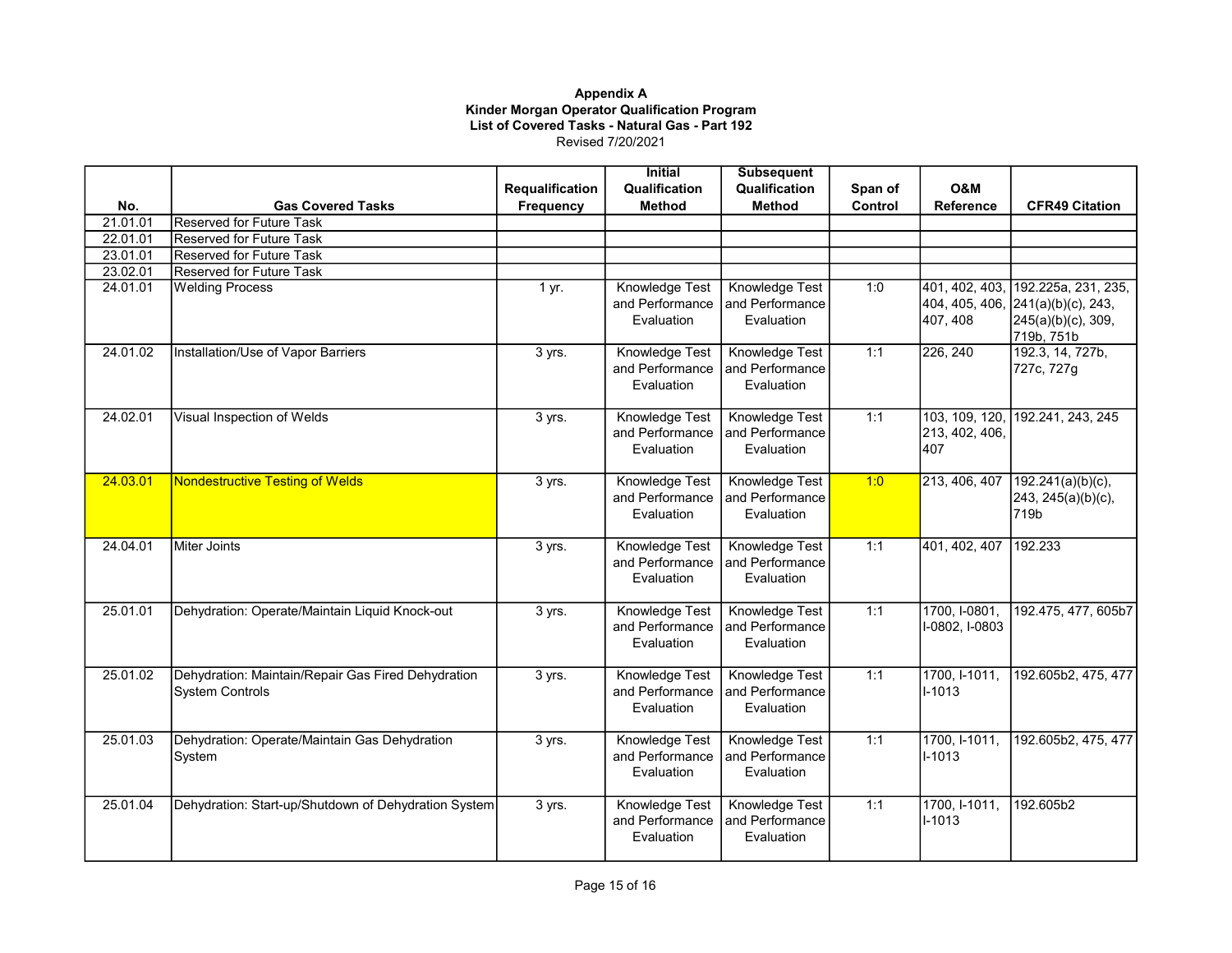|          |                                                                              |                 | <b>Initial</b>                                  | <b>Subsequent</b>                                      |         |                                              |                                                                               |
|----------|------------------------------------------------------------------------------|-----------------|-------------------------------------------------|--------------------------------------------------------|---------|----------------------------------------------|-------------------------------------------------------------------------------|
|          |                                                                              | Requalification | Qualification                                   | Qualification                                          | Span of | O&M                                          |                                                                               |
| No.      | <b>Gas Covered Tasks</b>                                                     | Frequency       | <b>Method</b>                                   | <b>Method</b>                                          | Control | Reference                                    | <b>CFR49 Citation</b>                                                         |
| 21.01.01 | Reserved for Future Task                                                     |                 |                                                 |                                                        |         |                                              |                                                                               |
| 22.01.01 | Reserved for Future Task                                                     |                 |                                                 |                                                        |         |                                              |                                                                               |
| 23.01.01 | <b>Reserved for Future Task</b>                                              |                 |                                                 |                                                        |         |                                              |                                                                               |
| 23.02.01 | <b>Reserved for Future Task</b>                                              |                 |                                                 |                                                        |         |                                              |                                                                               |
| 24.01.01 | <b>Welding Process</b>                                                       | 1 yr.           | Knowledge Test<br>and Performance<br>Evaluation | Knowledge Test<br>and Performance<br>Evaluation        | 1:0     | 401, 402, 403,<br>404, 405, 406,<br>407, 408 | 192.225a, 231, 235,<br>241(a)(b)(c), 243,<br>245(a)(b)(c), 309,<br>719b, 751b |
| 24.01.02 | Installation/Use of Vapor Barriers                                           | 3 yrs.          | Knowledge Test<br>and Performance<br>Evaluation | Knowledge Test<br>and Performance<br>Evaluation        | 1:1     | 226, 240                                     | 192.3, 14, 727b,<br>727c, 727g                                                |
| 24.02.01 | Visual Inspection of Welds                                                   | 3 yrs.          | Knowledge Test<br>and Performance<br>Evaluation | Knowledge Test<br>and Performance<br>Evaluation        | 1:1     | 103, 109, 120,<br>213, 402, 406,<br>1407     | 192.241, 243, 245                                                             |
| 24.03.01 | <b>Nondestructive Testing of Welds</b>                                       | 3 yrs.          | Knowledge Test<br>and Performance<br>Evaluation | Knowledge Test<br>and Performance<br>Evaluation        | 1:0     | 213, 406, 407                                | 192.241(a)(b)(c),<br>243, 245(a)(b)(c),<br>719b                               |
| 24.04.01 | Miter Joints                                                                 | 3 yrs.          | Knowledge Test<br>and Performance<br>Evaluation | Knowledge Test<br>and Performance<br>Evaluation        | 1:1     | 401, 402, 407                                | 192.233                                                                       |
| 25.01.01 | Dehydration: Operate/Maintain Liquid Knock-out                               | 3 yrs.          | Knowledge Test<br>and Performance<br>Evaluation | Knowledge Test<br>and Performance<br>Evaluation        | 1:1     | 1700, I-0801,<br>I-0802, I-0803              | 192.475, 477, 605b7                                                           |
| 25.01.02 | Dehydration: Maintain/Repair Gas Fired Dehydration<br><b>System Controls</b> | 3 yrs.          | Knowledge Test<br>and Performance<br>Evaluation | Knowledge Test<br>and Performance<br>Evaluation        | 1:1     | 1700, I-1011,<br>I-1013                      | 192.605b2, 475, 477                                                           |
| 25.01.03 | Dehydration: Operate/Maintain Gas Dehydration<br>System                      | 3 yrs.          | Knowledge Test<br>and Performance<br>Evaluation | <b>Knowledge Test</b><br>and Performance<br>Evaluation | 1:1     | 1700, I-1011,<br>I-1013                      | 192.605b2, 475, 477                                                           |
| 25.01.04 | Dehydration: Start-up/Shutdown of Dehydration System                         | 3 yrs.          | Knowledge Test<br>and Performance<br>Evaluation | <b>Knowledge Test</b><br>and Performance<br>Evaluation | 1:1     | 1700, I-1011,<br>I-1013                      | 192.605b2                                                                     |